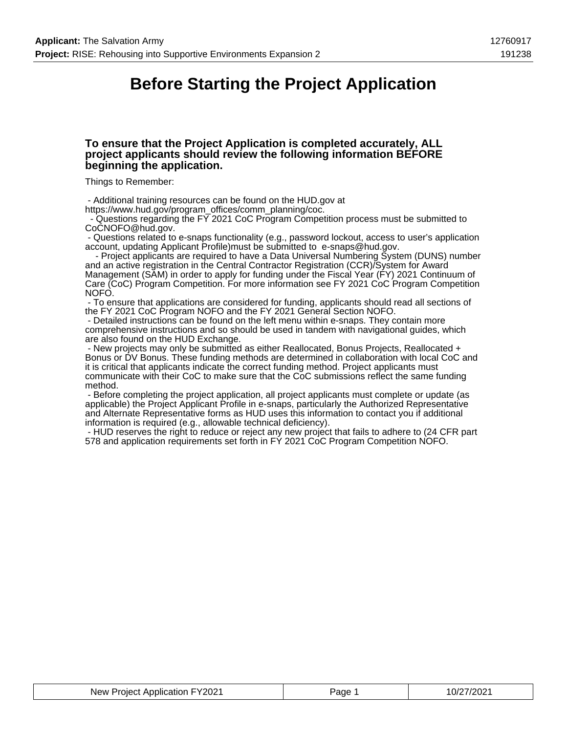### **Before Starting the Project Application**

#### **To ensure that the Project Application is completed accurately, ALL project applicants should review the following information BEFORE beginning the application.**

Things to Remember:

- Additional training resources can be found on the HUD.gov at

https://www.hud.gov/program\_offices/comm\_planning/coc.

 - Questions regarding the FY 2021 CoC Program Competition process must be submitted to CoCNOFO@hud.gov.

 - Questions related to e-snaps functionality (e.g., password lockout, access to user's application account, updating Applicant Profile)must be submitted to e-snaps@hud.gov.

 - Project applicants are required to have a Data Universal Numbering System (DUNS) number and an active registration in the Central Contractor Registration (CCR)/System for Award Management (SAM) in order to apply for funding under the Fiscal Year (FY) 2021 Continuum of Care (CoC) Program Competition. For more information see FY 2021 CoC Program Competition NOFO.

 - To ensure that applications are considered for funding, applicants should read all sections of the FY 2021 CoC Program NOFO and the FY 2021 General Section NOFO.

 - Detailed instructions can be found on the left menu within e-snaps. They contain more comprehensive instructions and so should be used in tandem with navigational guides, which are also found on the HUD Exchange.

 - New projects may only be submitted as either Reallocated, Bonus Projects, Reallocated + Bonus or DV Bonus. These funding methods are determined in collaboration with local CoC and it is critical that applicants indicate the correct funding method. Project applicants must communicate with their CoC to make sure that the CoC submissions reflect the same funding method.

 - Before completing the project application, all project applicants must complete or update (as applicable) the Project Applicant Profile in e-snaps, particularly the Authorized Representative and Alternate Representative forms as HUD uses this information to contact you if additional information is required (e.g., allowable technical deficiency).

 - HUD reserves the right to reduce or reject any new project that fails to adhere to (24 CFR part 578 and application requirements set forth in FY 2021 CoC Program Competition NOFO.

| New Project Application FY2021 | Page | 7/2021<br>$10/2^-$ |
|--------------------------------|------|--------------------|
|--------------------------------|------|--------------------|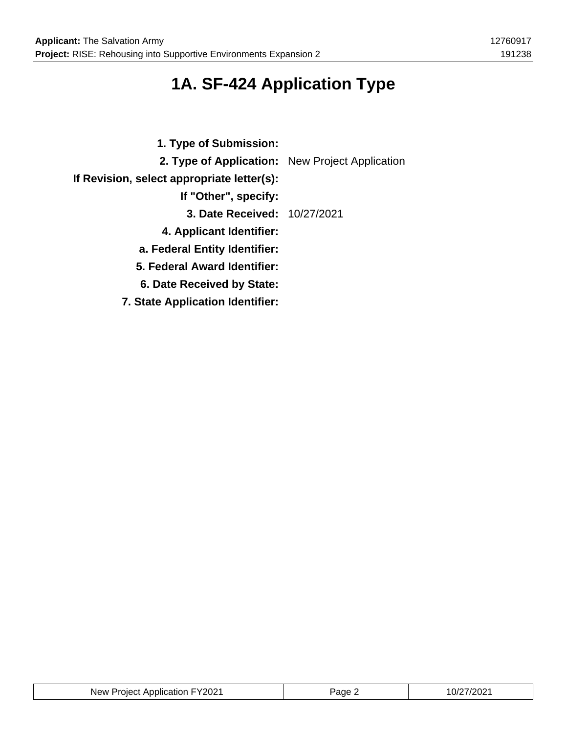# **1A. SF-424 Application Type**

| 1. Type of Submission:                          |  |
|-------------------------------------------------|--|
|                                                 |  |
| 2. Type of Application: New Project Application |  |
| If Revision, select appropriate letter(s):      |  |
| If "Other", specify:                            |  |
| 3. Date Received: 10/27/2021                    |  |
| 4. Applicant Identifier:                        |  |
| a. Federal Entity Identifier:                   |  |
| 5. Federal Award Identifier:                    |  |
| 6. Date Received by State:                      |  |
| 7. State Application Identifier:                |  |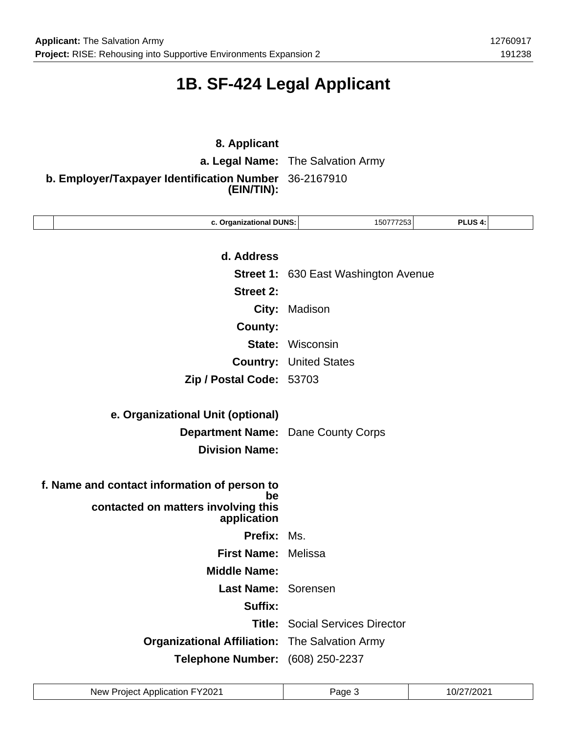### **1B. SF-424 Legal Applicant**

### **8. Applicant a. Legal Name:** The Salvation Army **b. Employer/Taxpayer Identification Number** 36-2167910 **(EIN/TIN):**

| c. Organizational DUNS:                               | 150777253                                   | PLUS <sub>4:</sub> |  |
|-------------------------------------------------------|---------------------------------------------|--------------------|--|
|                                                       |                                             |                    |  |
| d. Address                                            |                                             |                    |  |
|                                                       | <b>Street 1: 630 East Washington Avenue</b> |                    |  |
| <b>Street 2:</b>                                      |                                             |                    |  |
| City:                                                 | Madison                                     |                    |  |
| <b>County:</b>                                        |                                             |                    |  |
|                                                       | <b>State: Wisconsin</b>                     |                    |  |
|                                                       | <b>Country: United States</b>               |                    |  |
| Zip / Postal Code: 53703                              |                                             |                    |  |
|                                                       |                                             |                    |  |
| e. Organizational Unit (optional)                     |                                             |                    |  |
| <b>Department Name:</b> Dane County Corps             |                                             |                    |  |
| <b>Division Name:</b>                                 |                                             |                    |  |
|                                                       |                                             |                    |  |
| f. Name and contact information of person to<br>be    |                                             |                    |  |
| contacted on matters involving this<br>application    |                                             |                    |  |
| Prefix:                                               | Ms.                                         |                    |  |
| First Name: Melissa                                   |                                             |                    |  |
| <b>Middle Name:</b>                                   |                                             |                    |  |
| Last Name: Sorensen                                   |                                             |                    |  |
| Suffix:                                               |                                             |                    |  |
|                                                       | <b>Title: Social Services Director</b>      |                    |  |
| <b>Organizational Affiliation:</b> The Salvation Army |                                             |                    |  |
| Telephone Number: (608) 250-2237                      |                                             |                    |  |
|                                                       |                                             |                    |  |

| New Project Application FY2021 | aae | 10/27/2021 |
|--------------------------------|-----|------------|
|--------------------------------|-----|------------|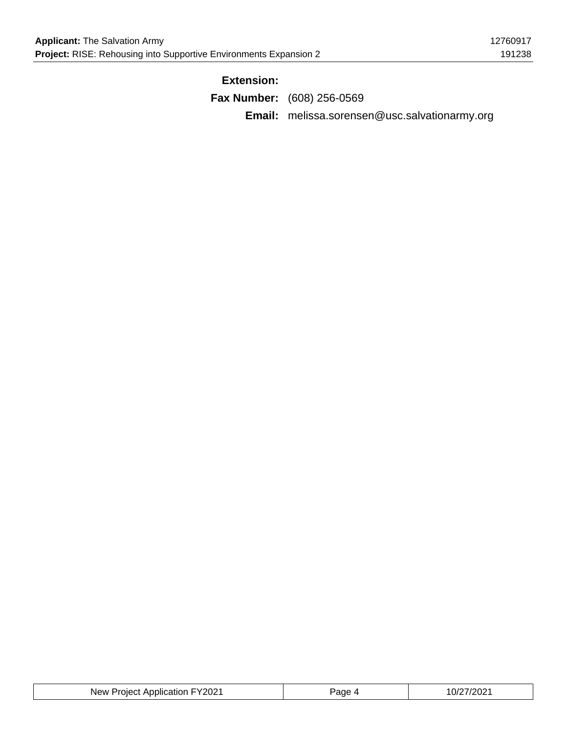### **Extension:**

| <b>Fax Number:</b> (608) 256-0569                    |
|------------------------------------------------------|
| <b>Email:</b> melissa.sorensen@usc.salvationarmy.org |

New Project Application FY2021 | Page 4 | 10/27/2021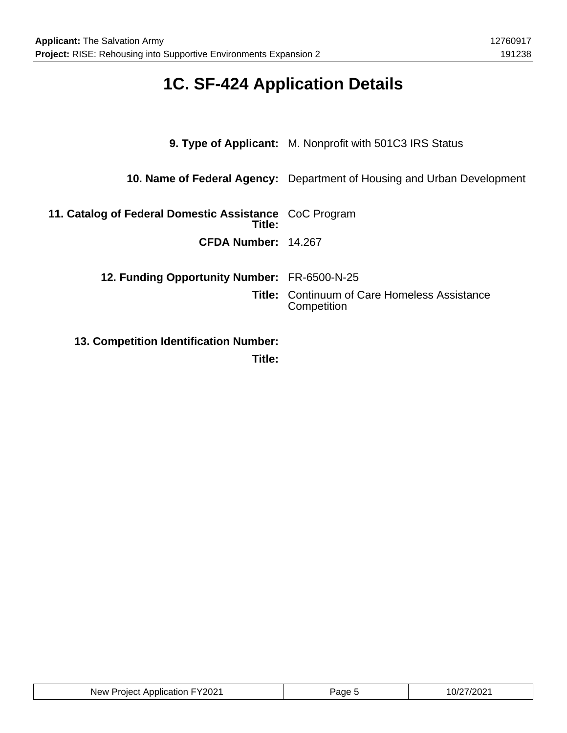# **1C. SF-424 Application Details**

|                                                                  | <b>9. Type of Applicant:</b> M. Nonprofit with 501C3 IRS Status         |  |
|------------------------------------------------------------------|-------------------------------------------------------------------------|--|
|                                                                  | 10. Name of Federal Agency: Department of Housing and Urban Development |  |
| 11. Catalog of Federal Domestic Assistance CoC Program<br>Title: |                                                                         |  |
| CFDA Number: 14.267                                              |                                                                         |  |
| 12. Funding Opportunity Number: FR-6500-N-25                     |                                                                         |  |
|                                                                  | <b>Title: Continuum of Care Homeless Assistance</b><br>Competition      |  |
| <b>13. Competition Identification Number:</b>                    |                                                                         |  |

**Title:**

| FY2021<br>New<br>Application <b>F</b><br>— Proiect Au…<br>Page | 7/202 |
|----------------------------------------------------------------|-------|
|----------------------------------------------------------------|-------|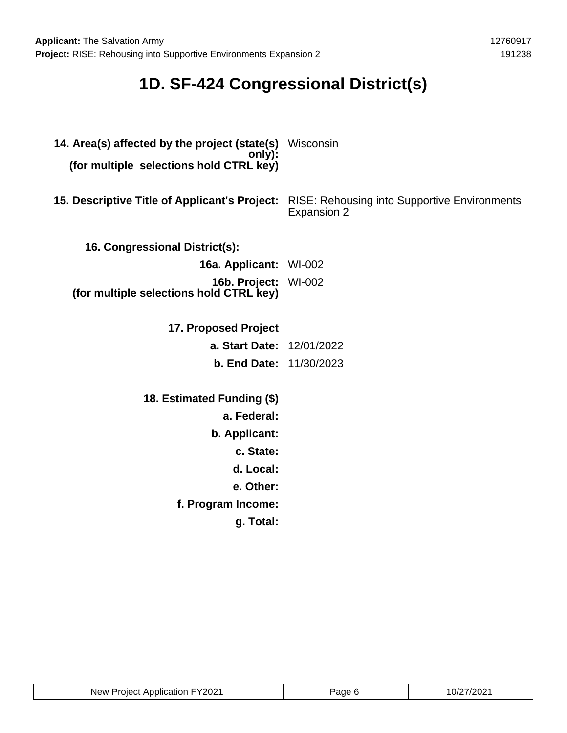# **1D. SF-424 Congressional District(s)**

| 14. Area(s) affected by the project (state(s) Wisconsin<br>only):<br>(for multiple selections hold CTRL key) |                                                                           |
|--------------------------------------------------------------------------------------------------------------|---------------------------------------------------------------------------|
| 15. Descriptive Title of Applicant's Project:                                                                | <b>RISE: Rehousing into Supportive Environments</b><br><b>Expansion 2</b> |
| 16. Congressional District(s):                                                                               |                                                                           |
| 16a. Applicant: WI-002                                                                                       |                                                                           |
| 16b. Project:<br>(for multiple selections hold CTRL key)                                                     | WI-002                                                                    |
| 17. Proposed Project                                                                                         |                                                                           |
| a. Start Date: 12/01/2022                                                                                    |                                                                           |
| <b>b. End Date: 11/30/2023</b>                                                                               |                                                                           |
| 18. Estimated Funding (\$)                                                                                   |                                                                           |
| a. Federal:                                                                                                  |                                                                           |
| b. Applicant:                                                                                                |                                                                           |
| c. State:                                                                                                    |                                                                           |
| d. Local:                                                                                                    |                                                                           |
| e. Other:                                                                                                    |                                                                           |
| f. Program Income:                                                                                           |                                                                           |
| g. Total:                                                                                                    |                                                                           |

| New Project Application FY2021 | Paɑe | 10/27/2021 |
|--------------------------------|------|------------|
|--------------------------------|------|------------|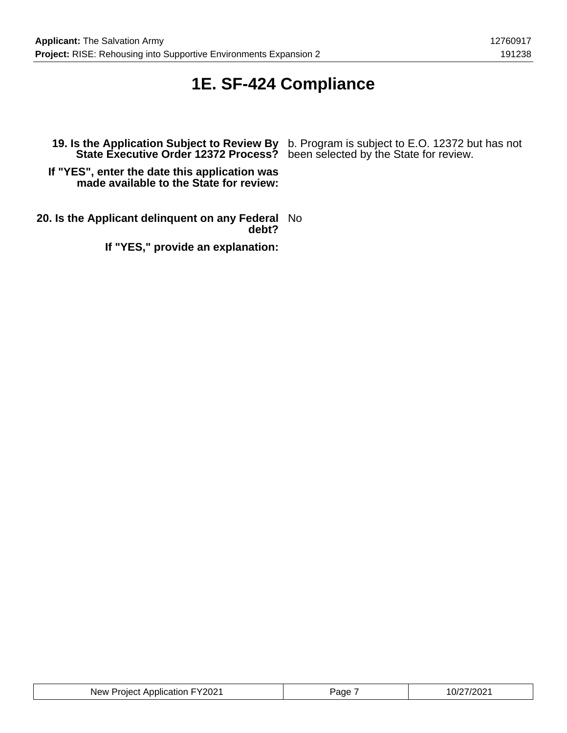### **1E. SF-424 Compliance**

**State Executive Order 12372 Process?** been selected by the State for review.

**19. Is the Application Subject to Review By** b. Program is subject to E.O. 12372 but has not

**If "YES", enter the date this application was made available to the State for review:**

**20. Is the Applicant delinquent on any Federal** No **debt?**

**If "YES," provide an explanation:**

| New Project Application FY2021 | Page | 10/27/2021 |
|--------------------------------|------|------------|
|--------------------------------|------|------------|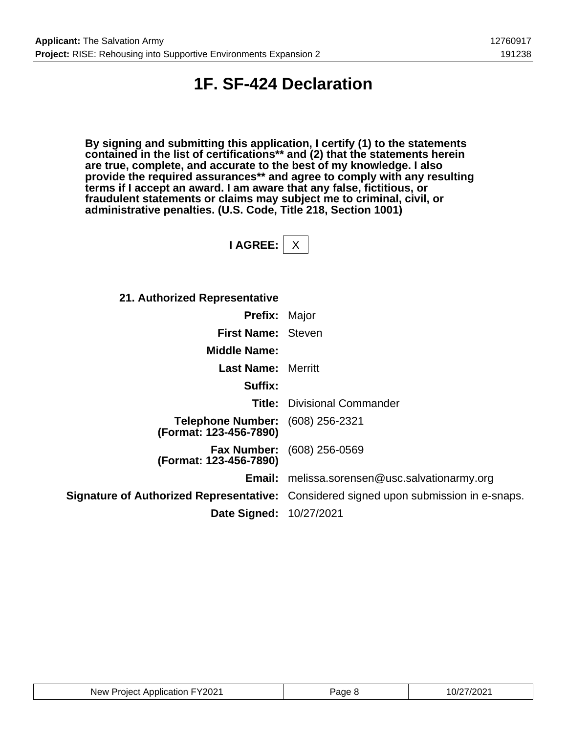### **1F. SF-424 Declaration**

**By signing and submitting this application, I certify (1) to the statements contained in the list of certifications\*\* and (2) that the statements herein are true, complete, and accurate to the best of my knowledge. I also provide the required assurances\*\* and agree to comply with any resulting terms if I accept an award. I am aware that any false, fictitious, or fraudulent statements or claims may subject me to criminal, civil, or administrative penalties. (U.S. Code, Title 218, Section 1001)**

**I AGREE:** X

| 21. Authorized Representative                                     |                                                                                       |
|-------------------------------------------------------------------|---------------------------------------------------------------------------------------|
| <b>Prefix: Major</b>                                              |                                                                                       |
| <b>First Name: Steven</b>                                         |                                                                                       |
| <b>Middle Name:</b>                                               |                                                                                       |
| <b>Last Name:</b> Merritt                                         |                                                                                       |
| Suffix:                                                           |                                                                                       |
|                                                                   | <b>Title:</b> Divisional Commander                                                    |
| <b>Telephone Number:</b> (608) 256-2321<br>(Format: 123-456-7890) |                                                                                       |
| (Format: 123-456-7890)                                            | <b>Fax Number:</b> (608) 256-0569                                                     |
|                                                                   | <b>Email:</b> melissa.sorensen@usc.salvationarmy.org                                  |
|                                                                   | Signature of Authorized Representative: Considered signed upon submission in e-snaps. |
| <b>Date Signed: 10/27/2021</b>                                    |                                                                                       |

| SY2021<br>New Project Application FY | Page | 10/27/2021 |
|--------------------------------------|------|------------|
|--------------------------------------|------|------------|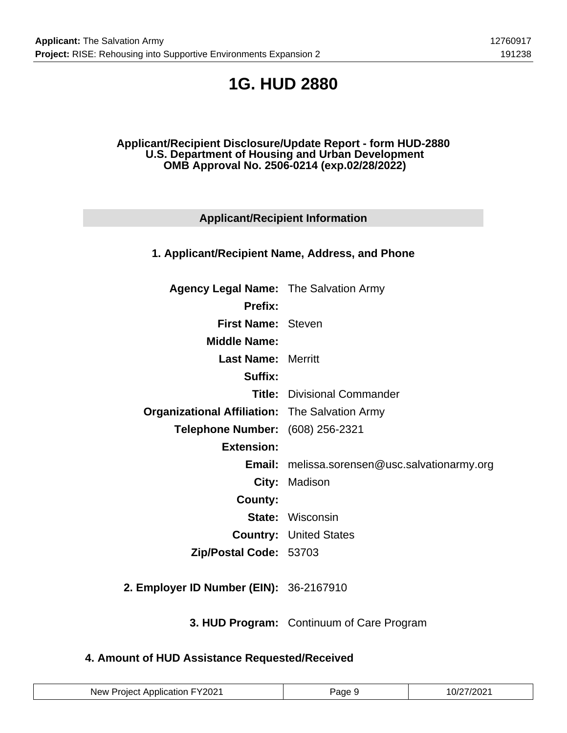### **1G. HUD 2880**

#### **Applicant/Recipient Disclosure/Update Report - form HUD-2880 U.S. Department of Housing and Urban Development OMB Approval No. 2506-0214 (exp.02/28/2022)**

#### **Applicant/Recipient Information**

#### **1. Applicant/Recipient Name, Address, and Phone**

| <b>Agency Legal Name:</b> The Salvation Army          |                                                      |
|-------------------------------------------------------|------------------------------------------------------|
| <b>Prefix:</b>                                        |                                                      |
| <b>First Name: Steven</b>                             |                                                      |
| <b>Middle Name:</b>                                   |                                                      |
| <b>Last Name: Merritt</b>                             |                                                      |
| Suffix:                                               |                                                      |
|                                                       | <b>Title:</b> Divisional Commander                   |
| <b>Organizational Affiliation:</b> The Salvation Army |                                                      |
| <b>Telephone Number:</b> (608) 256-2321               |                                                      |
| <b>Extension:</b>                                     |                                                      |
|                                                       | <b>Email:</b> melissa.sorensen@usc.salvationarmy.org |
|                                                       | <b>City: Madison</b>                                 |
| County:                                               |                                                      |
|                                                       | <b>State: Wisconsin</b>                              |
|                                                       | <b>Country: United States</b>                        |
| Zip/Postal Code: 53703                                |                                                      |
|                                                       |                                                      |

**2. Employer ID Number (EIN):** 36-2167910

**3. HUD Program:** Continuum of Care Program

#### **4. Amount of HUD Assistance Requested/Received**

| <b>New Project Application FY2021</b> | Page <sup>r</sup> | 10/27/2021 |
|---------------------------------------|-------------------|------------|
|---------------------------------------|-------------------|------------|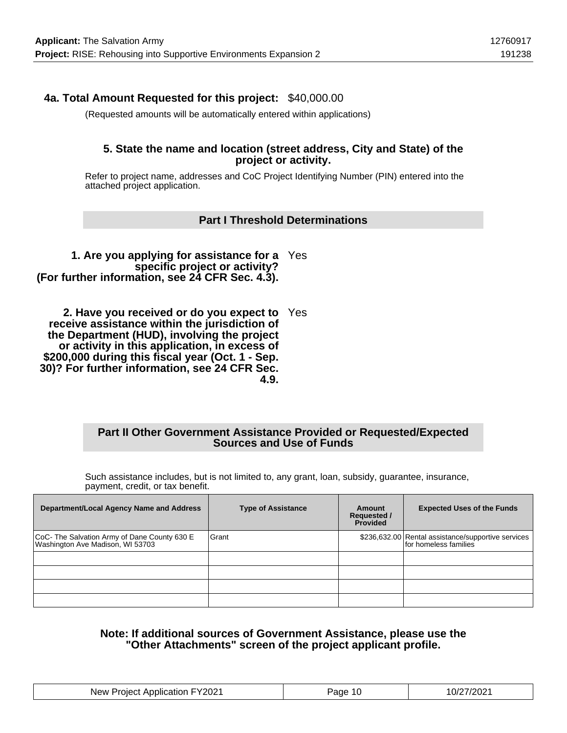#### **4a. Total Amount Requested for this project:** \$40,000.00

(Requested amounts will be automatically entered within applications)

#### **5. State the name and location (street address, City and State) of the project or activity.**

Refer to project name, addresses and CoC Project Identifying Number (PIN) entered into the attached project application.

#### **Part I Threshold Determinations**

**1. Are you applying for assistance for a** Yes **specific project or activity? (For further information, see 24 CFR Sec. 4.3).**

**2. Have you received or do you expect to** Yes **receive assistance within the jurisdiction of the Department (HUD), involving the project or activity in this application, in excess of \$200,000 during this fiscal year (Oct. 1 - Sep. 30)? For further information, see 24 CFR Sec. 4.9.**

#### **Part II Other Government Assistance Provided or Requested/Expected Sources and Use of Funds**

Such assistance includes, but is not limited to, any grant, loan, subsidy, guarantee, insurance, payment, credit, or tax benefit.

| Department/Local Agency Name and Address                                         | <b>Type of Assistance</b> | Amount<br><b>Requested /</b><br><b>Provided</b> | <b>Expected Uses of the Funds</b>                                           |
|----------------------------------------------------------------------------------|---------------------------|-------------------------------------------------|-----------------------------------------------------------------------------|
| CoC- The Salvation Army of Dane County 630 E<br>Washington Ave Madison, WI 53703 | Grant                     |                                                 | \$236,632.00 Rental assistance/supportive services<br>for homeless families |
|                                                                                  |                           |                                                 |                                                                             |
|                                                                                  |                           |                                                 |                                                                             |
|                                                                                  |                           |                                                 |                                                                             |
|                                                                                  |                           |                                                 |                                                                             |

#### **Note: If additional sources of Government Assistance, please use the "Other Attachments" screen of the project applicant profile.**

| New Project Application FY2021 | Page 10 | 10/27/2021 |
|--------------------------------|---------|------------|
|--------------------------------|---------|------------|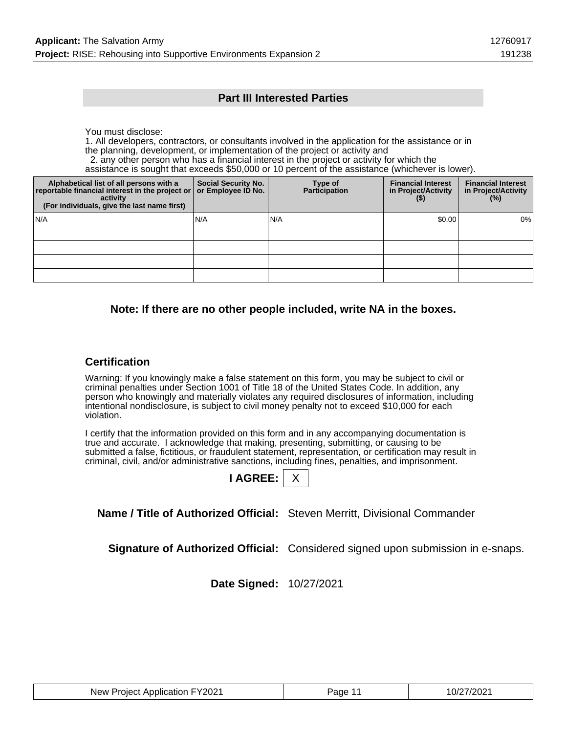#### **Part III Interested Parties**

You must disclose:

1. All developers, contractors, or consultants involved in the application for the assistance or in the planning, development, or implementation of the project or activity and

2. any other person who has a financial interest in the project or activity for which the

assistance is sought that exceeds \$50,000 or 10 percent of the assistance (whichever is lower).

| Alphabetical list of all persons with a<br>reportable financial interest in the project or<br>activity<br>(For individuals, give the last name first) | <b>Social Security No.</b><br>or Employee ID No. | Type of<br><b>Participation</b> | <b>Financial Interest</b><br>in Project/Activity<br>$($ \$) | <b>Financial Interest</b><br>in Project/Activity<br>$(\%)$ |
|-------------------------------------------------------------------------------------------------------------------------------------------------------|--------------------------------------------------|---------------------------------|-------------------------------------------------------------|------------------------------------------------------------|
| N/A                                                                                                                                                   | N/A                                              | IN/A                            | \$0.00                                                      | 0%                                                         |
|                                                                                                                                                       |                                                  |                                 |                                                             |                                                            |
|                                                                                                                                                       |                                                  |                                 |                                                             |                                                            |
|                                                                                                                                                       |                                                  |                                 |                                                             |                                                            |
|                                                                                                                                                       |                                                  |                                 |                                                             |                                                            |

#### **Note: If there are no other people included, write NA in the boxes.**

#### **Certification**

Warning: If you knowingly make a false statement on this form, you may be subject to civil or criminal penalties under Section 1001 of Title 18 of the United States Code. In addition, any person who knowingly and materially violates any required disclosures of information, including intentional nondisclosure, is subject to civil money penalty not to exceed \$10,000 for each violation.

I certify that the information provided on this form and in any accompanying documentation is true and accurate. I acknowledge that making, presenting, submitting, or causing to be submitted a false, fictitious, or fraudulent statement, representation, or certification may result in criminal, civil, and/or administrative sanctions, including fines, penalties, and imprisonment.

| GRE.<br>'А<br>т. |
|------------------|
|------------------|

**Name / Title of Authorized Official:** Steven Merritt, Divisional Commander

**Signature of Authorized Official:** Considered signed upon submission in e-snaps.

**Date Signed:** 10/27/2021

| New Project Application FY2021 | Page 11 | 10/27/2021 |
|--------------------------------|---------|------------|
|--------------------------------|---------|------------|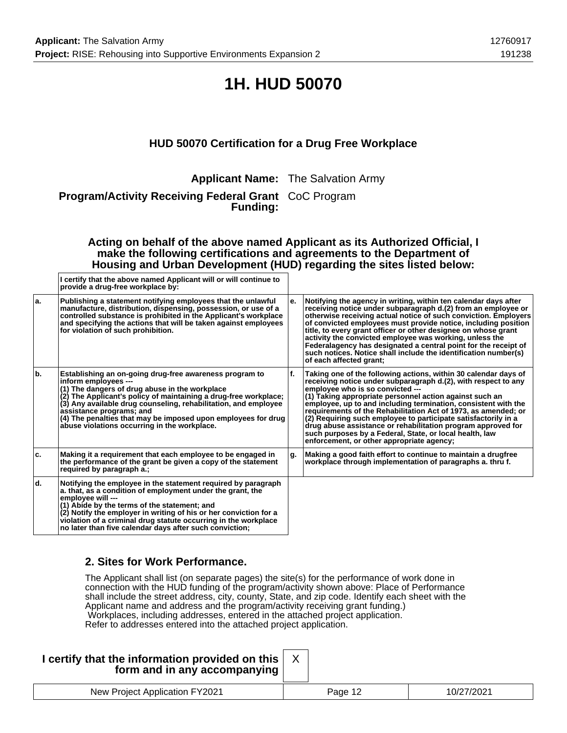### **1H. HUD 50070**

### **HUD 50070 Certification for a Drug Free Workplace**

**Applicant Name:** The Salvation Army

**Program/Activity Receiving Federal Grant** CoC Program **Funding:**

**Acting on behalf of the above named Applicant as its Authorized Official, I make the following certifications and agreements to the Department of Housing and Urban Development (HUD) regarding the sites listed below:**

|     | I certify that the above named Applicant will or will continue to<br>provide a drug-free workplace by:                                                                                                                                                                                                                                                                                                                |    |                                                                                                                                                                                                                                                                                                                                                                                                                                                                                                                                                                                                                |
|-----|-----------------------------------------------------------------------------------------------------------------------------------------------------------------------------------------------------------------------------------------------------------------------------------------------------------------------------------------------------------------------------------------------------------------------|----|----------------------------------------------------------------------------------------------------------------------------------------------------------------------------------------------------------------------------------------------------------------------------------------------------------------------------------------------------------------------------------------------------------------------------------------------------------------------------------------------------------------------------------------------------------------------------------------------------------------|
| ۱a. | Publishing a statement notifying employees that the unlawful<br>manufacture, distribution, dispensing, possession, or use of a<br>controlled substance is prohibited in the Applicant's workplace<br>and specifying the actions that will be taken against employees<br>for violation of such prohibition.                                                                                                            | е. | Notifying the agency in writing, within ten calendar days after<br>receiving notice under subparagraph d.(2) from an employee or<br>otherwise receiving actual notice of such conviction. Employers<br>of convicted employees must provide notice, including position<br>title, to every grant officer or other designee on whose grant<br>activity the convicted employee was working, unless the<br>Federalagency has designated a central point for the receipt of<br>such notices. Notice shall include the identification number(s)<br>of each affected grant;                                            |
| b.  | Establishing an on-going drug-free awareness program to<br>inform employees ---<br>(1) The dangers of drug abuse in the workplace<br>(2) The Applicant's policy of maintaining a drug-free workplace;<br>(3) Any available drug counseling, rehabilitation, and employee<br>assistance programs; and<br>(4) The penalties that may be imposed upon employees for drug<br>abuse violations occurring in the workplace. | f. | Taking one of the following actions, within 30 calendar days of<br>receiving notice under subparagraph d.(2), with respect to any<br>emplovee who is so convicted ---<br>(1) Taking appropriate personnel action against such an<br>employee, up to and including termination, consistent with the<br>requirements of the Rehabilitation Act of 1973, as amended; or<br>(2) Requiring such employee to participate satisfactorily in a<br>drug abuse assistance or rehabilitation program approved for<br>such purposes by a Federal, State, or local health, law<br>enforcement, or other appropriate agency; |
| c.  | Making it a requirement that each employee to be engaged in<br>the performance of the grant be given a copy of the statement<br>required by paragraph a.:                                                                                                                                                                                                                                                             | g. | Making a good faith effort to continue to maintain a drugfree<br>workplace through implementation of paragraphs a. thru f.                                                                                                                                                                                                                                                                                                                                                                                                                                                                                     |
| d.  | Notifying the employee in the statement required by paragraph<br>a. that, as a condition of employment under the grant, the<br>employee will ---<br>(1) Abide by the terms of the statement; and<br>(2) Notify the employer in writing of his or her conviction for a<br>violation of a criminal drug statute occurring in the workplace<br>no later than five calendar days after such conviction;                   |    |                                                                                                                                                                                                                                                                                                                                                                                                                                                                                                                                                                                                                |

#### **2. Sites for Work Performance.**

The Applicant shall list (on separate pages) the site(s) for the performance of work done in connection with the HUD funding of the program/activity shown above: Place of Performance shall include the street address, city, county, State, and zip code. Identify each sheet with the Applicant name and address and the program/activity receiving grant funding.) Workplaces, including addresses, entered in the attached project application. Refer to addresses entered into the attached project application.

| I certify that the information provided on this<br>form and in any accompanying I |         |            |
|-----------------------------------------------------------------------------------|---------|------------|
| New Project Application FY2021                                                    | Page 12 | 10/27/2021 |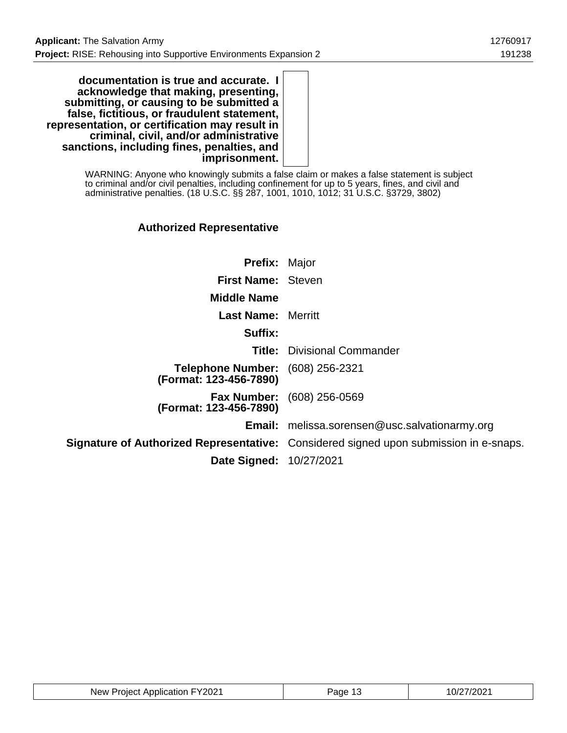**documentation is true and accurate. I acknowledge that making, presenting, submitting, or causing to be submitted a false, fictitious, or fraudulent statement, representation, or certification may result in criminal, civil, and/or administrative sanctions, including fines, penalties, and imprisonment.**

> WARNING: Anyone who knowingly submits a false claim or makes a false statement is subject to criminal and/or civil penalties, including confinement for up to 5 years, fines, and civil and administrative penalties. (18 U.S.C. §§ 287, 1001, 1010, 1012; 31 U.S.C. §3729, 3802)

#### **Authorized Representative**

| <b>Prefix: Major</b>                                              |                                                                                       |
|-------------------------------------------------------------------|---------------------------------------------------------------------------------------|
| <b>First Name: Steven</b>                                         |                                                                                       |
| <b>Middle Name</b>                                                |                                                                                       |
| <b>Last Name: Merritt</b>                                         |                                                                                       |
| Suffix:                                                           |                                                                                       |
|                                                                   | <b>Title:</b> Divisional Commander                                                    |
| <b>Telephone Number:</b> (608) 256-2321<br>(Format: 123-456-7890) |                                                                                       |
| <b>Fax Number:</b><br>(Format: 123-456-7890)                      | $(608)$ 256-0569                                                                      |
|                                                                   | <b>Email:</b> melissa.sorensen@usc.salvationarmy.org                                  |
|                                                                   | Signature of Authorized Representative: Considered signed upon submission in e-snaps. |
| <b>Date Signed: 10/27/2021</b>                                    |                                                                                       |

| New Project Application FY2021 | Page | 10/27/2021 |
|--------------------------------|------|------------|
|--------------------------------|------|------------|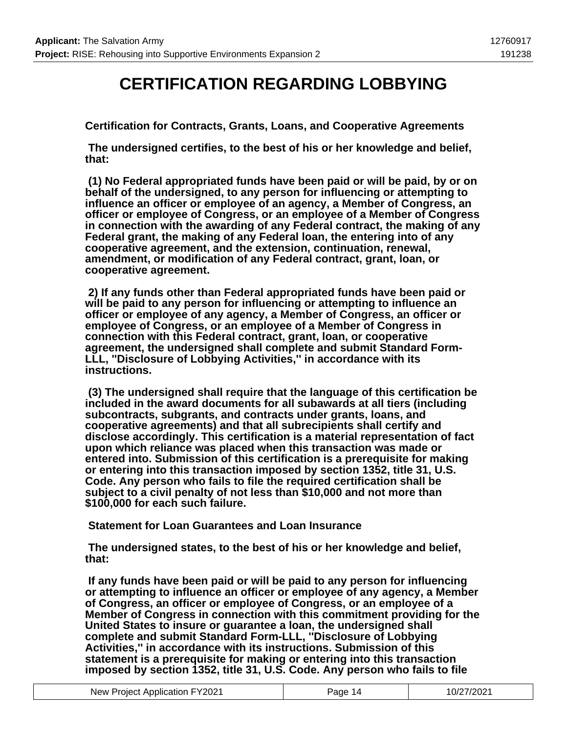### **CERTIFICATION REGARDING LOBBYING**

**Certification for Contracts, Grants, Loans, and Cooperative Agreements**

 **The undersigned certifies, to the best of his or her knowledge and belief, that:**

 **(1) No Federal appropriated funds have been paid or will be paid, by or on behalf of the undersigned, to any person for influencing or attempting to influence an officer or employee of an agency, a Member of Congress, an officer or employee of Congress, or an employee of a Member of Congress in connection with the awarding of any Federal contract, the making of any Federal grant, the making of any Federal loan, the entering into of any cooperative agreement, and the extension, continuation, renewal, amendment, or modification of any Federal contract, grant, loan, or cooperative agreement.**

 **2) If any funds other than Federal appropriated funds have been paid or will be paid to any person for influencing or attempting to influence an officer or employee of any agency, a Member of Congress, an officer or employee of Congress, or an employee of a Member of Congress in connection with this Federal contract, grant, loan, or cooperative agreement, the undersigned shall complete and submit Standard Form-LLL, ''Disclosure of Lobbying Activities,'' in accordance with its instructions.**

 **(3) The undersigned shall require that the language of this certification be included in the award documents for all subawards at all tiers (including subcontracts, subgrants, and contracts under grants, loans, and cooperative agreements) and that all subrecipients shall certify and disclose accordingly. This certification is a material representation of fact upon which reliance was placed when this transaction was made or entered into. Submission of this certification is a prerequisite for making or entering into this transaction imposed by section 1352, title 31, U.S. Code. Any person who fails to file the required certification shall be subject to a civil penalty of not less than \$10,000 and not more than \$100,000 for each such failure.**

 **Statement for Loan Guarantees and Loan Insurance**

 **The undersigned states, to the best of his or her knowledge and belief, that:**

 **If any funds have been paid or will be paid to any person for influencing or attempting to influence an officer or employee of any agency, a Member of Congress, an officer or employee of Congress, or an employee of a Member of Congress in connection with this commitment providing for the United States to insure or guarantee a loan, the undersigned shall complete and submit Standard Form-LLL, ''Disclosure of Lobbying Activities,'' in accordance with its instructions. Submission of this statement is a prerequisite for making or entering into this transaction imposed by section 1352, title 31, U.S. Code. Any person who fails to file**

| New Project Application FY2021 | Page 14 | 10/27/2021 |
|--------------------------------|---------|------------|
|--------------------------------|---------|------------|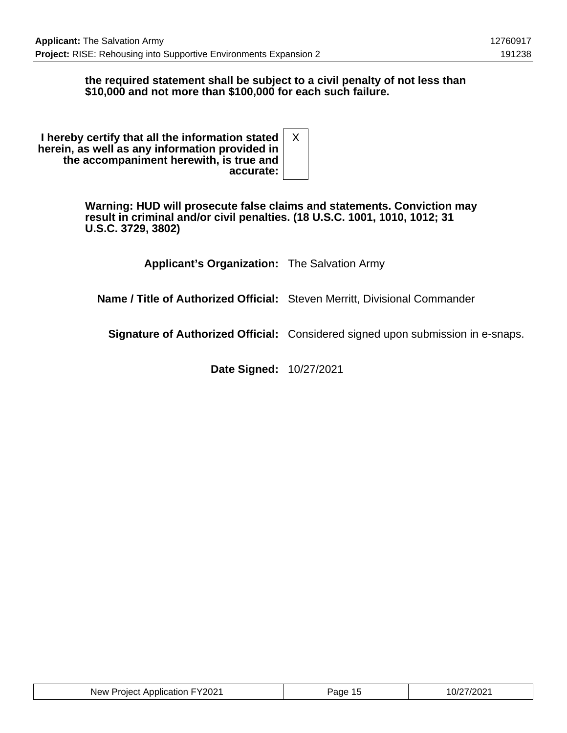#### **the required statement shall be subject to a civil penalty of not less than \$10,000 and not more than \$100,000 for each such failure.**

| I hereby certify that all the information stated<br>herein, as well as any information provided in |  |
|----------------------------------------------------------------------------------------------------|--|
| the accompaniment herewith, is true and                                                            |  |
| accurate:                                                                                          |  |

**Warning: HUD will prosecute false claims and statements. Conviction may result in criminal and/or civil penalties. (18 U.S.C. 1001, 1010, 1012; 31 U.S.C. 3729, 3802)**

**Applicant's Organization:** The Salvation Army

**Name / Title of Authorized Official:** Steven Merritt, Divisional Commander

**Signature of Authorized Official:** Considered signed upon submission in e-snaps.

**Date Signed:** 10/27/2021

| New Project Application FY2021 | Page 15 | 10/27/2021 |
|--------------------------------|---------|------------|
|--------------------------------|---------|------------|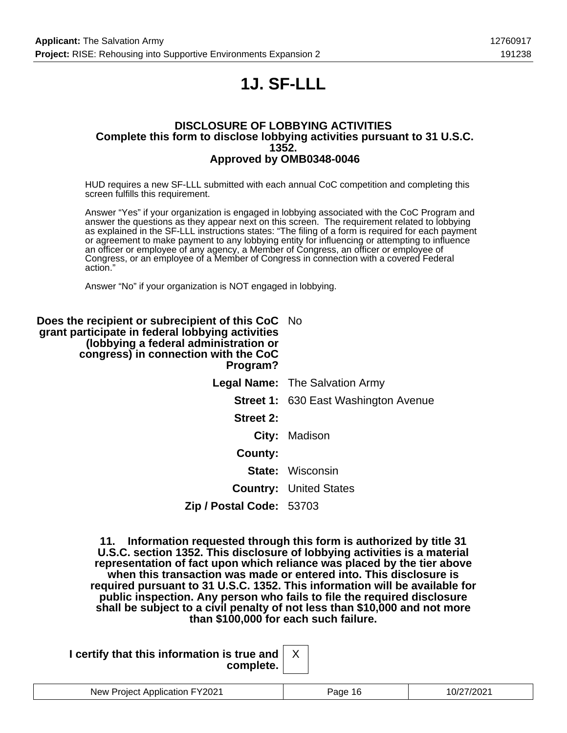# **1J. SF-LLL**

#### **DISCLOSURE OF LOBBYING ACTIVITIES Complete this form to disclose lobbying activities pursuant to 31 U.S.C. 1352. Approved by OMB0348-0046**

HUD requires a new SF-LLL submitted with each annual CoC competition and completing this screen fulfills this requirement.

Answer "Yes" if your organization is engaged in lobbying associated with the CoC Program and answer the questions as they appear next on this screen. The requirement related to lobbying as explained in the SF-LLL instructions states: "The filing of a form is required for each payment or agreement to make payment to any lobbying entity for influencing or attempting to influence an officer or employee of any agency, a Member of Congress, an officer or employee of Congress, or an employee of a Member of Congress in connection with a covered Federal action."

Answer "No" if your organization is NOT engaged in lobbying.

| Does the recipient or subrecipient of this CoC No<br>grant participate in federal lobbying activities<br>(lobbying a federal administration or<br>congress) in connection with the CoC<br>Program? |                                             |
|----------------------------------------------------------------------------------------------------------------------------------------------------------------------------------------------------|---------------------------------------------|
|                                                                                                                                                                                                    | <b>Legal Name:</b> The Salvation Army       |
|                                                                                                                                                                                                    | <b>Street 1: 630 East Washington Avenue</b> |
| <b>Street 2:</b>                                                                                                                                                                                   |                                             |
| City:                                                                                                                                                                                              | Madison                                     |
| County:                                                                                                                                                                                            |                                             |
|                                                                                                                                                                                                    | <b>State: Wisconsin</b>                     |
|                                                                                                                                                                                                    | <b>Country: United States</b>               |
| Zip / Postal Code: 53703                                                                                                                                                                           |                                             |

**11. Information requested through this form is authorized by title 31 U.S.C. section 1352. This disclosure of lobbying activities is a material representation of fact upon which reliance was placed by the tier above when this transaction was made or entered into. This disclosure is required pursuant to 31 U.S.C. 1352. This information will be available for public inspection. Any person who fails to file the required disclosure shall be subject to a civil penalty of not less than \$10,000 and not more than \$100,000 for each such failure.**

**I certify that this information is true and complete.**

| V2021.<br>New<br>nniir<br>UZ.<br>. 116<br><br>.<br>. . | апе<br>. . |  |
|--------------------------------------------------------|------------|--|
|                                                        |            |  |

X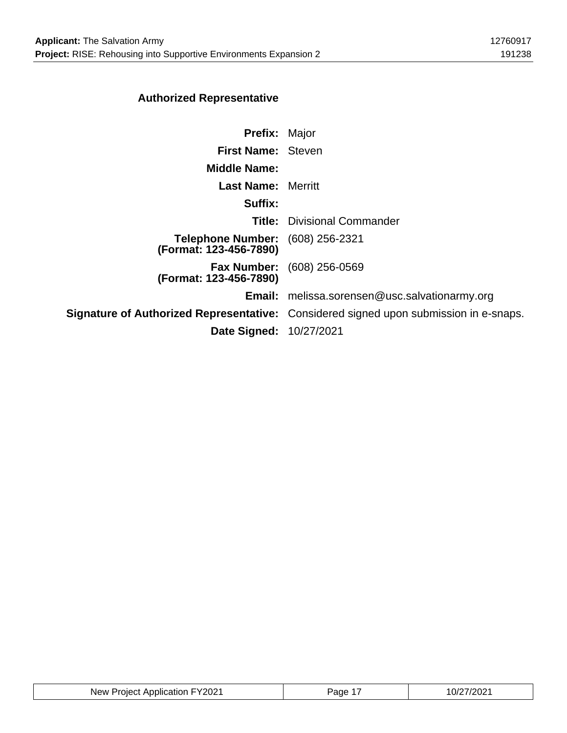### **Authorized Representative**

| Prefix: Major                                      |                                                                                              |
|----------------------------------------------------|----------------------------------------------------------------------------------------------|
| <b>First Name: Steven</b>                          |                                                                                              |
| <b>Middle Name:</b>                                |                                                                                              |
| <b>Last Name: Merritt</b>                          |                                                                                              |
| Suffix:                                            |                                                                                              |
|                                                    | <b>Title: Divisional Commander</b>                                                           |
| <b>Telephone Number:</b><br>(Format: 123-456-7890) | (608) 256-2321                                                                               |
| <b>Fax Number:</b><br>(Format: 123-456-7890)       | (608) 256-0569                                                                               |
| Email:                                             | melissa.sorensen@usc.salvationarmy.org                                                       |
| <b>Date Signed: 10/27/2021</b>                     | <b>Signature of Authorized Representative:</b> Considered signed upon submission in e-snaps. |
|                                                    |                                                                                              |

| New Project Application FY2021 | Page | 10/27/2021 |
|--------------------------------|------|------------|
|--------------------------------|------|------------|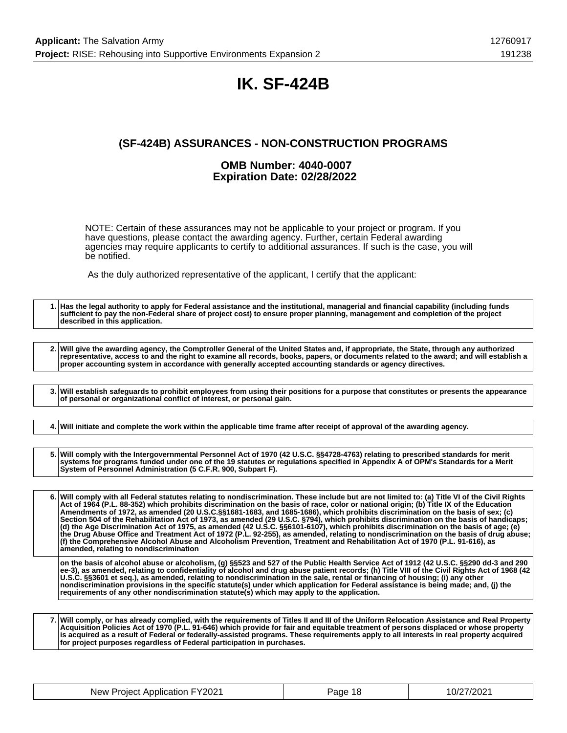### **IK. SF-424B**

### **(SF-424B) ASSURANCES - NON-CONSTRUCTION PROGRAMS**

#### **OMB Number: 4040-0007 Expiration Date: 02/28/2022**

NOTE: Certain of these assurances may not be applicable to your project or program. If you have questions, please contact the awarding agency. Further, certain Federal awarding agencies may require applicants to certify to additional assurances. If such is the case, you will be notified.

As the duly authorized representative of the applicant, I certify that the applicant:

**1. Has the legal authority to apply for Federal assistance and the institutional, managerial and financial capability (including funds sufficient to pay the non-Federal share of project cost) to ensure proper planning, management and completion of the project described in this application.**

**2. Will give the awarding agency, the Comptroller General of the United States and, if appropriate, the State, through any authorized representative, access to and the right to examine all records, books, papers, or documents related to the award; and will establish a proper accounting system in accordance with generally accepted accounting standards or agency directives.**

**3. Will establish safeguards to prohibit employees from using their positions for a purpose that constitutes or presents the appearance of personal or organizational conflict of interest, or personal gain.**

**4. Will initiate and complete the work within the applicable time frame after receipt of approval of the awarding agency.**

**5. Will comply with the Intergovernmental Personnel Act of 1970 (42 U.S.C. §§4728-4763) relating to prescribed standards for merit systems for programs funded under one of the 19 statutes or regulations specified in Appendix A of OPM's Standards for a Merit System of Personnel Administration (5 C.F.R. 900, Subpart F).**

**6. Will comply with all Federal statutes relating to nondiscrimination. These include but are not limited to: (a) Title VI of the Civil Rights Act of 1964 (P.L. 88-352) which prohibits discrimination on the basis of race, color or national origin; (b) Title IX of the Education Amendments of 1972, as amended (20 U.S.C.§§1681-1683, and 1685-1686), which prohibits discrimination on the basis of sex; (c) Section 504 of the Rehabilitation Act of 1973, as amended (29 U.S.C. §794), which prohibits discrimination on the basis of handicaps; (d) the Age Discrimination Act of 1975, as amended (42 U.S.C. §§6101-6107), which prohibits discrimination on the basis of age; (e) the Drug Abuse Office and Treatment Act of 1972 (P.L. 92-255), as amended, relating to nondiscrimination on the basis of drug abuse; (f) the Comprehensive Alcohol Abuse and Alcoholism Prevention, Treatment and Rehabilitation Act of 1970 (P.L. 91-616), as amended, relating to nondiscrimination**

**on the basis of alcohol abuse or alcoholism, (g) §§523 and 527 of the Public Health Service Act of 1912 (42 U.S.C. §§290 dd-3 and 290 ee-3), as amended, relating to confidentiality of alcohol and drug abuse patient records; (h) Title VIII of the Civil Rights Act of 1968 (42 U.S.C. §§3601 et seq.), as amended, relating to nondiscrimination in the sale, rental or financing of housing; (i) any other nondiscrimination provisions in the specific statute(s) under which application for Federal assistance is being made; and, (j) the requirements of any other nondiscrimination statute(s) which may apply to the application.**

**7. Will comply, or has already complied, with the requirements of Titles II and III of the Uniform Relocation Assistance and Real Property Acquisition Policies Act of 1970 (P.L. 91-646) which provide for fair and equitable treatment of persons displaced or whose property is acquired as a result of Federal or federally-assisted programs. These requirements apply to all interests in real property acquired for project purposes regardless of Federal participation in purchases.**

| New Project Application FY2021 | Page 18 | 10/27/2021 |
|--------------------------------|---------|------------|
|--------------------------------|---------|------------|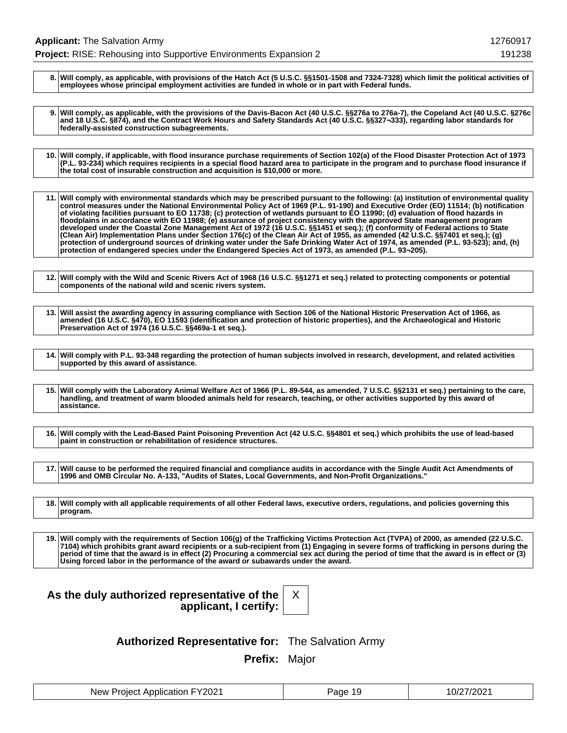**8. Will comply, as applicable, with provisions of the Hatch Act (5 U.S.C. §§1501-1508 and 7324-7328) which limit the political activities of employees whose principal employment activities are funded in whole or in part with Federal funds.**

**9. Will comply, as applicable, with the provisions of the Davis-Bacon Act (40 U.S.C. §§276a to 276a-7), the Copeland Act (40 U.S.C. §276c and 18 U.S.C. §874), and the Contract Work Hours and Safety Standards Act (40 U.S.C. §§327¬333), regarding labor standards for federally-assisted construction subagreements.**

**10. Will comply, if applicable, with flood insurance purchase requirements of Section 102(a) of the Flood Disaster Protection Act of 1973 (P.L. 93-234) which requires recipients in a special flood hazard area to participate in the program and to purchase flood insurance if the total cost of insurable construction and acquisition is \$10,000 or more.**

**11. Will comply with environmental standards which may be prescribed pursuant to the following: (a) institution of environmental quality control measures under the National Environmental Policy Act of 1969 (P.L. 91-190) and Executive Order (EO) 11514; (b) notification of violating facilities pursuant to EO 11738; (c) protection of wetlands pursuant to EO 11990; (d) evaluation of flood hazards in floodplains in accordance with EO 11988; (e) assurance of project consistency with the approved State management program developed under the Coastal Zone Management Act of 1972 (16 U.S.C. §§1451 et seq.); (f) conformity of Federal actions to State (Clean Air) Implementation Plans under Section 176(c) of the Clean Air Act of 1955, as amended (42 U.S.C. §§7401 et seq.); (g) protection of underground sources of drinking water under the Safe Drinking Water Act of 1974, as amended (P.L. 93-523); and, (h) protection of endangered species under the Endangered Species Act of 1973, as amended (P.L. 93¬205).**

**12. Will comply with the Wild and Scenic Rivers Act of 1968 (16 U.S.C. §§1271 et seq.) related to protecting components or potential components of the national wild and scenic rivers system.**

**13. Will assist the awarding agency in assuring compliance with Section 106 of the National Historic Preservation Act of 1966, as amended (16 U.S.C. §470), EO 11593 (identification and protection of historic properties), and the Archaeological and Historic Preservation Act of 1974 (16 U.S.C. §§469a-1 et seq.).**

**14. Will comply with P.L. 93-348 regarding the protection of human subjects involved in research, development, and related activities supported by this award of assistance.**

**15. Will comply with the Laboratory Animal Welfare Act of 1966 (P.L. 89-544, as amended, 7 U.S.C. §§2131 et seq.) pertaining to the care, handling, and treatment of warm blooded animals held for research, teaching, or other activities supported by this award of assistance.**

**16. Will comply with the Lead-Based Paint Poisoning Prevention Act (42 U.S.C. §§4801 et seq.) which prohibits the use of lead-based paint in construction or rehabilitation of residence structures.**

**17. Will cause to be performed the required financial and compliance audits in accordance with the Single Audit Act Amendments of 1996 and OMB Circular No. A-133, "Audits of States, Local Governments, and Non-Profit Organizations."**

**18. Will comply with all applicable requirements of all other Federal laws, executive orders, regulations, and policies governing this program.**

**19. Will comply with the requirements of Section 106(g) of the Trafficking Victims Protection Act (TVPA) of 2000, as amended (22 U.S.C. 7104) which prohibits grant award recipients or a sub-recipient from (1) Engaging in severe forms of trafficking in persons during the period of time that the award is in effect (2) Procuring a commercial sex act during the period of time that the award is in effect or (3) Using forced labor in the performance of the award or subawards under the award.**

| As the duly authorized representative of the |                                     |  |
|----------------------------------------------|-------------------------------------|--|
|                                              | applicant, $\sf I$ certify: $\sf I$ |  |



**Authorized Representative for:** The Salvation Army

**Prefix:** Major

| New Project Application FY2021 | Page 19 | 10/27/2021 |
|--------------------------------|---------|------------|
|--------------------------------|---------|------------|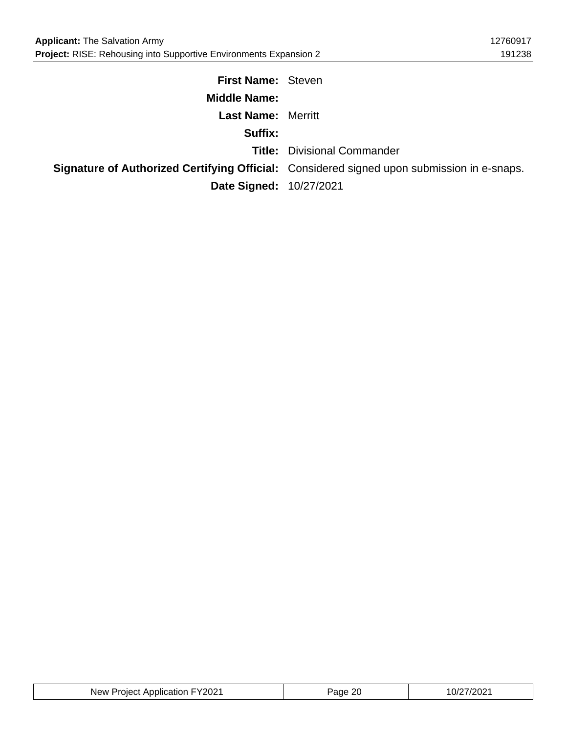| <b>First Name: Steven</b>      |                                                                                                   |
|--------------------------------|---------------------------------------------------------------------------------------------------|
| <b>Middle Name:</b>            |                                                                                                   |
| <b>Last Name: Merritt</b>      |                                                                                                   |
| Suffix:                        |                                                                                                   |
|                                | <b>Title: Divisional Commander</b>                                                                |
|                                | <b>Signature of Authorized Certifying Official:</b> Considered signed upon submission in e-snaps. |
| <b>Date Signed: 10/27/2021</b> |                                                                                                   |

| New Project Application FY2021 | <b>20</b><br>Page. | 10/27/2021 |
|--------------------------------|--------------------|------------|
|--------------------------------|--------------------|------------|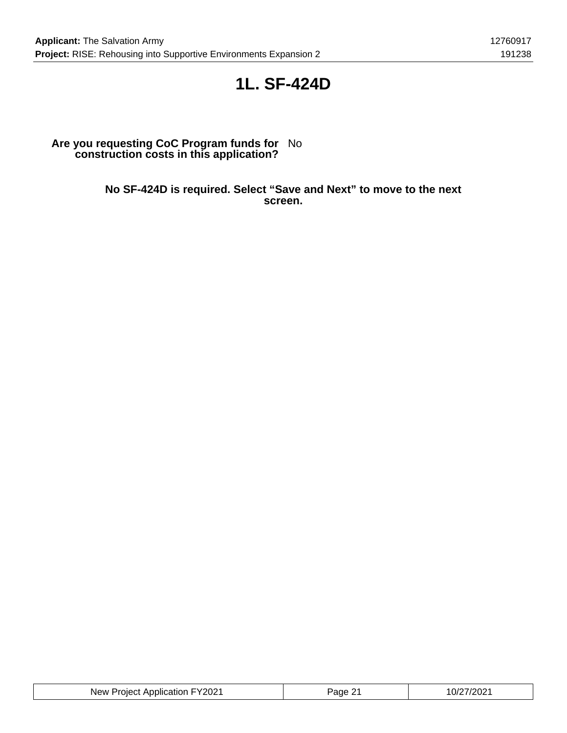### **1L. SF-424D**

#### **Are you requesting CoC Program funds for construction costs in this application?** No

**No SF-424D is required. Select "Save and Next" to move to the next screen.**

| New Project Application FY2021 | $P$ age $\geq$ | 10/27/2021 |
|--------------------------------|----------------|------------|
|--------------------------------|----------------|------------|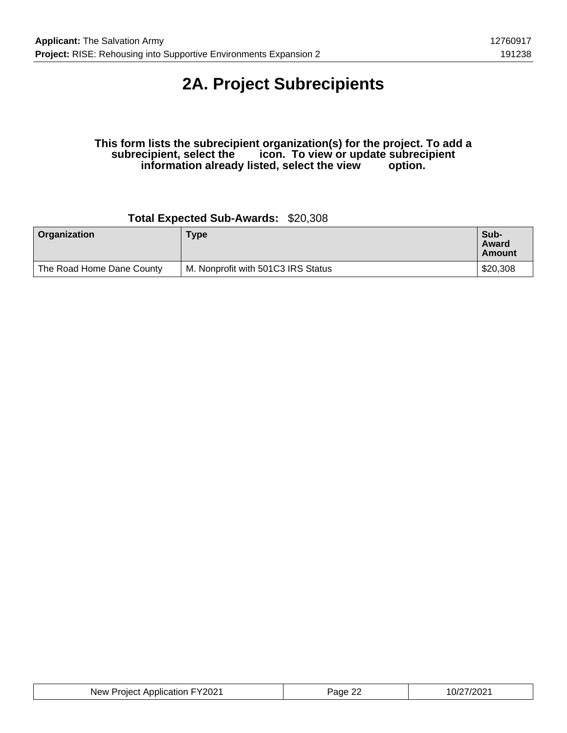### **2A. Project Subrecipients**

#### **This form lists the subrecipient organization(s) for the project. To add a** icon. To view or update subrecipient<br>sted, select the view option. information already listed, select the view

#### **Total Expected Sub-Awards:** \$20,308

| Organization              | Type                               | Sub-<br>Award<br>Amount |
|---------------------------|------------------------------------|-------------------------|
| The Road Home Dane County | M. Nonprofit with 501C3 IRS Status | \$20,308                |

| New Project Application FY2021 | <sup>2</sup> age 22 | 10/27/2021 |
|--------------------------------|---------------------|------------|
|--------------------------------|---------------------|------------|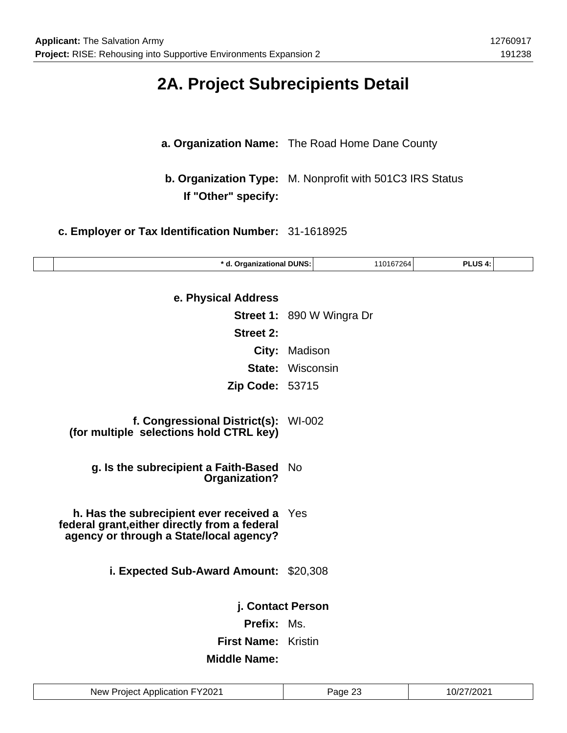### **2A. Project Subrecipients Detail**

**a. Organization Name:** The Road Home Dane County

**b. Organization Type:** M. Nonprofit with 501C3 IRS Status **If "Other" specify:**

**c. Employer or Tax Identification Number:** 31-1618925

|                   | * d. Organizational DUNS:                                                                                                           |               | 110167264                        | PLUS 4: |  |
|-------------------|-------------------------------------------------------------------------------------------------------------------------------------|---------------|----------------------------------|---------|--|
|                   | e. Physical Address                                                                                                                 |               |                                  |         |  |
|                   |                                                                                                                                     |               | <b>Street 1: 890 W Wingra Dr</b> |         |  |
|                   | <b>Street 2:</b>                                                                                                                    |               |                                  |         |  |
|                   |                                                                                                                                     | City: Madison |                                  |         |  |
|                   | <b>State: Wisconsin</b>                                                                                                             |               |                                  |         |  |
|                   | Zip Code: 53715                                                                                                                     |               |                                  |         |  |
|                   | f. Congressional District(s):<br>(for multiple selections hold CTRL key)                                                            | WI-002        |                                  |         |  |
|                   | g. Is the subrecipient a Faith-Based No                                                                                             |               |                                  |         |  |
|                   | Organization?                                                                                                                       |               |                                  |         |  |
|                   | h. Has the subrecipient ever received a<br>federal grant, either directly from a federal<br>agency or through a State/local agency? | Yes           |                                  |         |  |
|                   | i. Expected Sub-Award Amount: \$20,308                                                                                              |               |                                  |         |  |
| j. Contact Person |                                                                                                                                     |               |                                  |         |  |
|                   | <b>Prefix: Ms.</b>                                                                                                                  |               |                                  |         |  |
|                   | <b>First Name: Kristin</b>                                                                                                          |               |                                  |         |  |
|                   | <b>Middle Name:</b>                                                                                                                 |               |                                  |         |  |
|                   |                                                                                                                                     |               |                                  |         |  |

New Project Application FY2021 | Page 23 | 10/27/2021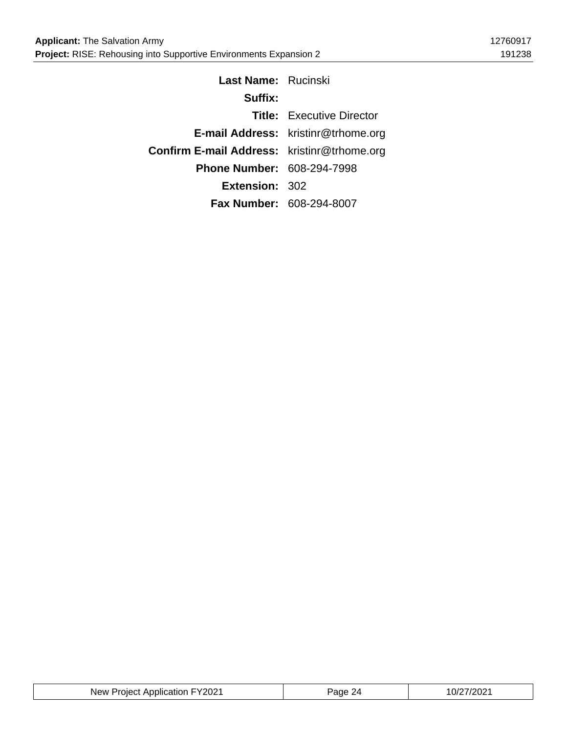| <b>Last Name:</b> Rucinski                         |                                            |
|----------------------------------------------------|--------------------------------------------|
| Suffix:                                            |                                            |
|                                                    | <b>Title:</b> Executive Director           |
|                                                    | <b>E-mail Address:</b> kristinr@trhome.org |
| <b>Confirm E-mail Address:</b> kristinr@trhome.org |                                            |
| <b>Phone Number: 608-294-7998</b>                  |                                            |
| <b>Extension: 302</b>                              |                                            |
|                                                    | <b>Fax Number: 608-294-8007</b>            |

| New Project Application FY2021 | Page 24 | 10/27/2021 |
|--------------------------------|---------|------------|
|--------------------------------|---------|------------|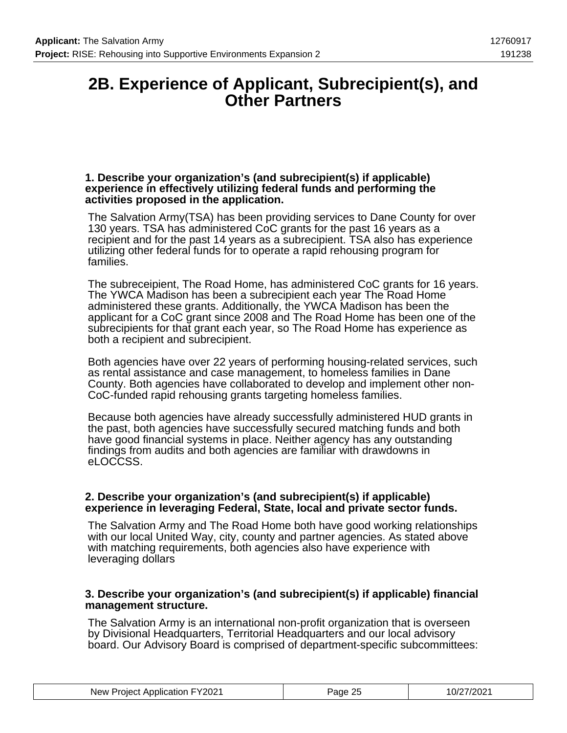### **2B. Experience of Applicant, Subrecipient(s), and Other Partners**

#### **1. Describe your organization's (and subrecipient(s) if applicable) experience in effectively utilizing federal funds and performing the activities proposed in the application.**

The Salvation Army(TSA) has been providing services to Dane County for over 130 years. TSA has administered CoC grants for the past 16 years as a recipient and for the past 14 years as a subrecipient. TSA also has experience utilizing other federal funds for to operate a rapid rehousing program for families.

The subreceipient, The Road Home, has administered CoC grants for 16 years. The YWCA Madison has been a subrecipient each year The Road Home administered these grants. Additionally, the YWCA Madison has been the applicant for a CoC grant since 2008 and The Road Home has been one of the subrecipients for that grant each year, so The Road Home has experience as both a recipient and subrecipient.

Both agencies have over 22 years of performing housing-related services, such as rental assistance and case management, to homeless families in Dane County. Both agencies have collaborated to develop and implement other non-CoC-funded rapid rehousing grants targeting homeless families.

Because both agencies have already successfully administered HUD grants in the past, both agencies have successfully secured matching funds and both have good financial systems in place. Neither agency has any outstanding findings from audits and both agencies are familiar with drawdowns in eLOCCSS.

#### **2. Describe your organization's (and subrecipient(s) if applicable) experience in leveraging Federal, State, local and private sector funds.**

The Salvation Army and The Road Home both have good working relationships with our local United Way, city, county and partner agencies. As stated above with matching requirements, both agencies also have experience with leveraging dollars

#### **3. Describe your organization's (and subrecipient(s) if applicable) financial management structure.**

The Salvation Army is an international non-profit organization that is overseen by Divisional Headquarters, Territorial Headquarters and our local advisory board. Our Advisory Board is comprised of department-specific subcommittees:

| New Project Application FY2021 | Page 25 | 10/27/2021 |
|--------------------------------|---------|------------|
|--------------------------------|---------|------------|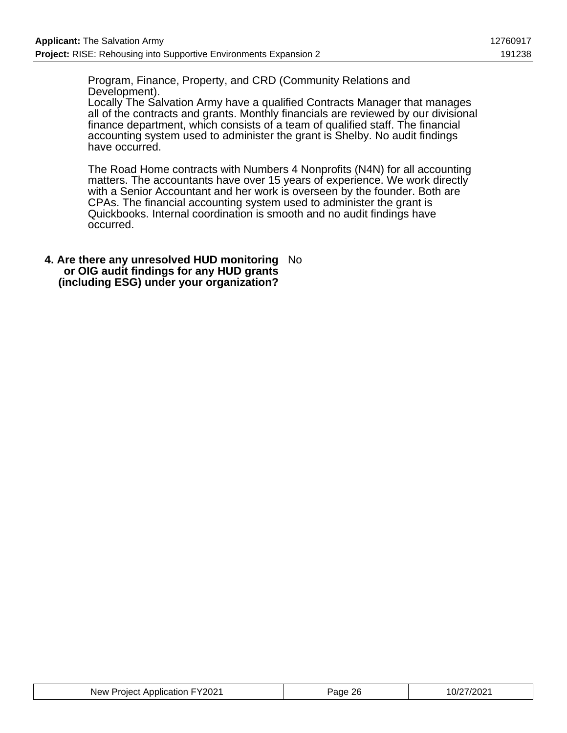Program, Finance, Property, and CRD (Community Relations and Development).

Locally The Salvation Army have a qualified Contracts Manager that manages all of the contracts and grants. Monthly financials are reviewed by our divisional finance department, which consists of a team of qualified staff. The financial accounting system used to administer the grant is Shelby. No audit findings have occurred.

The Road Home contracts with Numbers 4 Nonprofits (N4N) for all accounting matters. The accountants have over 15 years of experience. We work directly with a Senior Accountant and her work is overseen by the founder. Both are CPAs. The financial accounting system used to administer the grant is Quickbooks. Internal coordination is smooth and no audit findings have occurred.

**4. Are there any unresolved HUD monitoring** No **or OIG audit findings for any HUD grants (including ESG) under your organization?**

| New Project Application FY2021 | Page 26 | 10/27/2021 |
|--------------------------------|---------|------------|
|--------------------------------|---------|------------|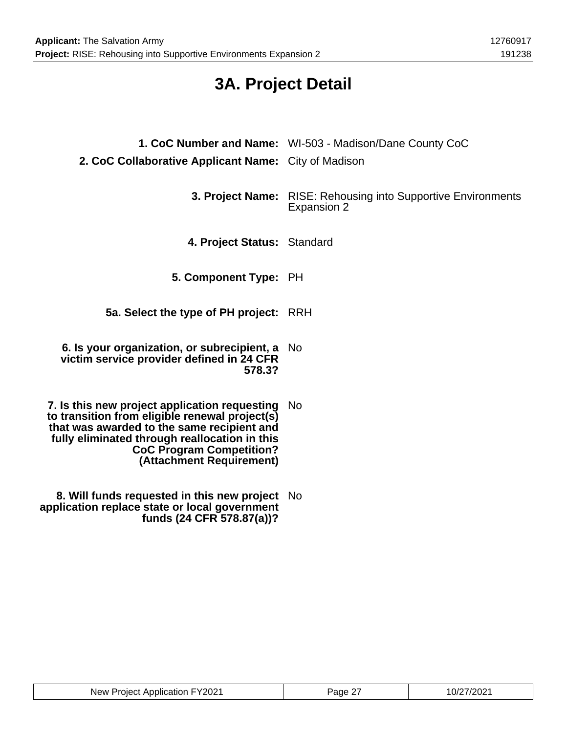### **3A. Project Detail**

| 2. CoC Collaborative Applicant Name: City of Madison                                                                                                                                                                                                             | 1. CoC Number and Name: WI-503 - Madison/Dane County CoC                                   |
|------------------------------------------------------------------------------------------------------------------------------------------------------------------------------------------------------------------------------------------------------------------|--------------------------------------------------------------------------------------------|
|                                                                                                                                                                                                                                                                  | <b>3. Project Name:</b> RISE: Rehousing into Supportive Environments<br><b>Expansion 2</b> |
| 4. Project Status: Standard                                                                                                                                                                                                                                      |                                                                                            |
| 5. Component Type: PH                                                                                                                                                                                                                                            |                                                                                            |
| 5a. Select the type of PH project: RRH                                                                                                                                                                                                                           |                                                                                            |
| 6. Is your organization, or subrecipient, a No<br>victim service provider defined in 24 CFR<br>578.3?                                                                                                                                                            |                                                                                            |
| 7. Is this new project application requesting No<br>to transition from eligible renewal project(s)<br>that was awarded to the same recipient and<br>fully eliminated through reallocation in this<br><b>CoC Program Competition?</b><br>(Attachment Requirement) |                                                                                            |
| 8. Will funds requested in this new project No<br>application replace state or local government<br>funds (24 CFR 578.87(a))?                                                                                                                                     |                                                                                            |

| New Project Application FY2021 | aae | 10/27/2021 |
|--------------------------------|-----|------------|
|--------------------------------|-----|------------|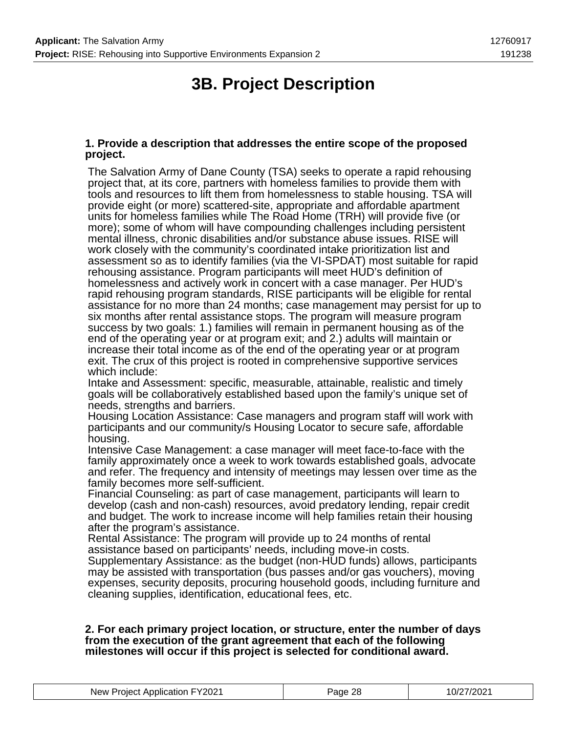# **3B. Project Description**

#### **1. Provide a description that addresses the entire scope of the proposed project.**

The Salvation Army of Dane County (TSA) seeks to operate a rapid rehousing project that, at its core, partners with homeless families to provide them with tools and resources to lift them from homelessness to stable housing. TSA will provide eight (or more) scattered-site, appropriate and affordable apartment units for homeless families while The Road Home (TRH) will provide five (or more); some of whom will have compounding challenges including persistent mental illness, chronic disabilities and/or substance abuse issues. RISE will work closely with the community's coordinated intake prioritization list and assessment so as to identify families (via the VI-SPDAT) most suitable for rapid rehousing assistance. Program participants will meet HUD's definition of homelessness and actively work in concert with a case manager. Per HUD's rapid rehousing program standards, RISE participants will be eligible for rental assistance for no more than 24 months; case management may persist for up to six months after rental assistance stops. The program will measure program success by two goals: 1.) families will remain in permanent housing as of the end of the operating year or at program exit; and 2.) adults will maintain or increase their total income as of the end of the operating year or at program exit. The crux of this project is rooted in comprehensive supportive services which include:

Intake and Assessment: specific, measurable, attainable, realistic and timely goals will be collaboratively established based upon the family's unique set of needs, strengths and barriers.

Housing Location Assistance: Case managers and program staff will work with participants and our community/s Housing Locator to secure safe, affordable housing.

Intensive Case Management: a case manager will meet face-to-face with the family approximately once a week to work towards established goals, advocate and refer. The frequency and intensity of meetings may lessen over time as the family becomes more self-sufficient.

Financial Counseling: as part of case management, participants will learn to develop (cash and non-cash) resources, avoid predatory lending, repair credit and budget. The work to increase income will help families retain their housing after the program's assistance.

Rental Assistance: The program will provide up to 24 months of rental assistance based on participants' needs, including move-in costs.

Supplementary Assistance: as the budget (non-HUD funds) allows, participants may be assisted with transportation (bus passes and/or gas vouchers), moving expenses, security deposits, procuring household goods, including furniture and cleaning supplies, identification, educational fees, etc.

**2. For each primary project location, or structure, enter the number of days from the execution of the grant agreement that each of the following milestones will occur if this project is selected for conditional award.**

| New Project Application FY2021 | Page 28 | 10/27/2021 |
|--------------------------------|---------|------------|
|--------------------------------|---------|------------|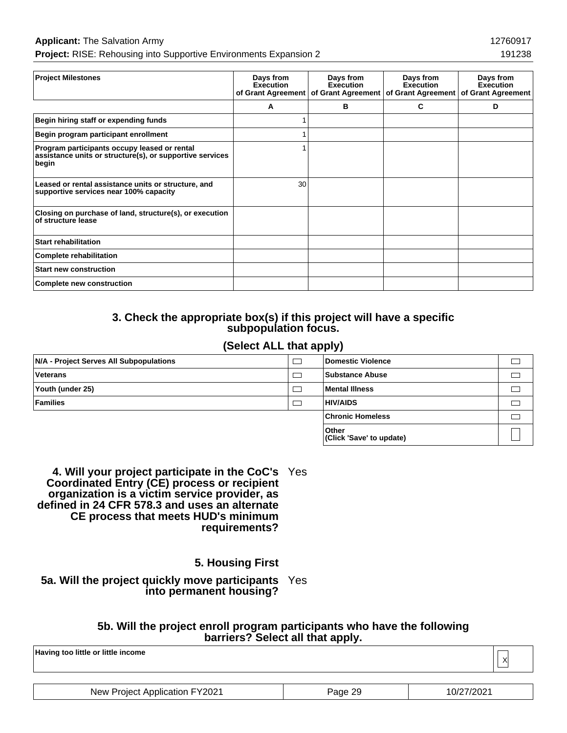| <b>Applicant: The Salvation Army</b>                              | 12760917 |
|-------------------------------------------------------------------|----------|
| Project: RISE: Rehousing into Supportive Environments Expansion 2 | 191238   |

| <b>Project Milestones</b>                                                                                         | Days from<br><b>Execution</b><br>of Grant Agreement | Days from<br><b>Execution</b><br>of Grant Agreement | Days from<br><b>Execution</b><br>of Grant Agreement | Days from<br><b>Execution</b><br>of Grant Agreement |
|-------------------------------------------------------------------------------------------------------------------|-----------------------------------------------------|-----------------------------------------------------|-----------------------------------------------------|-----------------------------------------------------|
|                                                                                                                   | А                                                   | в                                                   | C                                                   | D                                                   |
| Begin hiring staff or expending funds                                                                             |                                                     |                                                     |                                                     |                                                     |
| Begin program participant enrollment                                                                              |                                                     |                                                     |                                                     |                                                     |
| Program participants occupy leased or rental<br>assistance units or structure(s), or supportive services<br>begin |                                                     |                                                     |                                                     |                                                     |
| Leased or rental assistance units or structure, and<br>supportive services near 100% capacity                     | 30                                                  |                                                     |                                                     |                                                     |
| Closing on purchase of land, structure(s), or execution<br>of structure lease                                     |                                                     |                                                     |                                                     |                                                     |
| <b>Start rehabilitation</b>                                                                                       |                                                     |                                                     |                                                     |                                                     |
| <b>Complete rehabilitation</b>                                                                                    |                                                     |                                                     |                                                     |                                                     |
| <b>Start new construction</b>                                                                                     |                                                     |                                                     |                                                     |                                                     |
| <b>Complete new construction</b>                                                                                  |                                                     |                                                     |                                                     |                                                     |

#### **3. Check the appropriate box(s) if this project will have a specific subpopulation focus.**

#### **(Select ALL that apply)**

| N/A - Project Serves All Subpopulations | Domestic Violence                  |  |
|-----------------------------------------|------------------------------------|--|
| Veterans                                | <b>Substance Abuse</b>             |  |
| Youth (under 25)                        | Mental Illness                     |  |
| Families                                | <b>HIV/AIDS</b>                    |  |
|                                         | <b>Chronic Homeless</b>            |  |
|                                         | ∣Other<br>(Click 'Save' to update) |  |

**4. Will your project participate in the CoC's** Yes **Coordinated Entry (CE) process or recipient organization is a victim service provider, as defined in 24 CFR 578.3 and uses an alternate CE process that meets HUD's minimum requirements?**

#### **5. Housing First**

#### **5a. Will the project quickly move participants** Yes **into permanent housing?**

#### **5b. Will the project enroll program participants who have the following barriers? Select all that apply.**

| Having too little or little income |  |
|------------------------------------|--|
|                                    |  |

| New Project Application FY2021 | Page 29 | 10/27/2021 |
|--------------------------------|---------|------------|
|--------------------------------|---------|------------|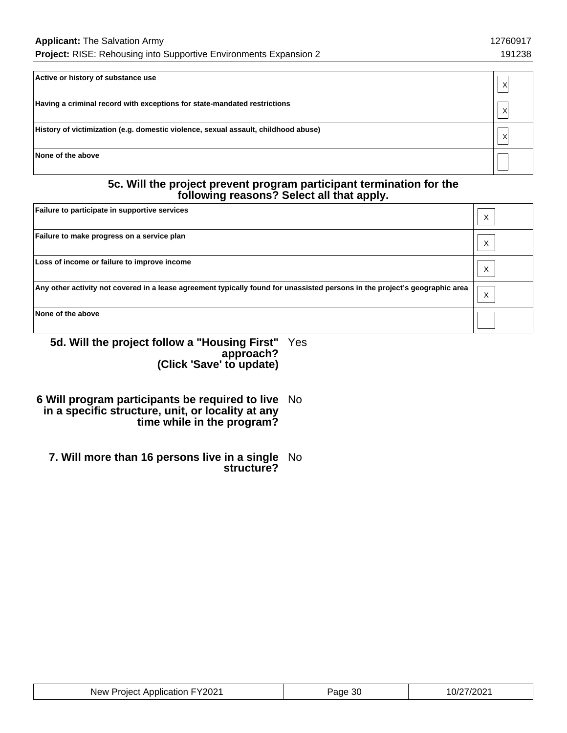| Active or history of substance use                                                 | Χ |
|------------------------------------------------------------------------------------|---|
| Having a criminal record with exceptions for state-mandated restrictions           | X |
| History of victimization (e.g. domestic violence, sexual assault, childhood abuse) | X |
| None of the above                                                                  |   |

#### **5c. Will the project prevent program participant termination for the following reasons? Select all that apply.**

| Failure to participate in supportive services                                                                               | v |
|-----------------------------------------------------------------------------------------------------------------------------|---|
| Failure to make progress on a service plan                                                                                  |   |
| Loss of income or failure to improve income                                                                                 | X |
| Any other activity not covered in a lease agreement typically found for unassisted persons in the project's geographic area | X |
| None of the above                                                                                                           |   |

**5d. Will the project follow a "Housing First"** Yes **approach? (Click 'Save' to update)**

**6 Will program participants be required to live** No **in a specific structure, unit, or locality at any time while in the program?**

**7. Will more than 16 persons live in a single** No **structure?**

| FY2021<br><b>New</b><br>: Application F<br>Project | 30<br>Pane | <br>∠∪∠ |
|----------------------------------------------------|------------|---------|
|----------------------------------------------------|------------|---------|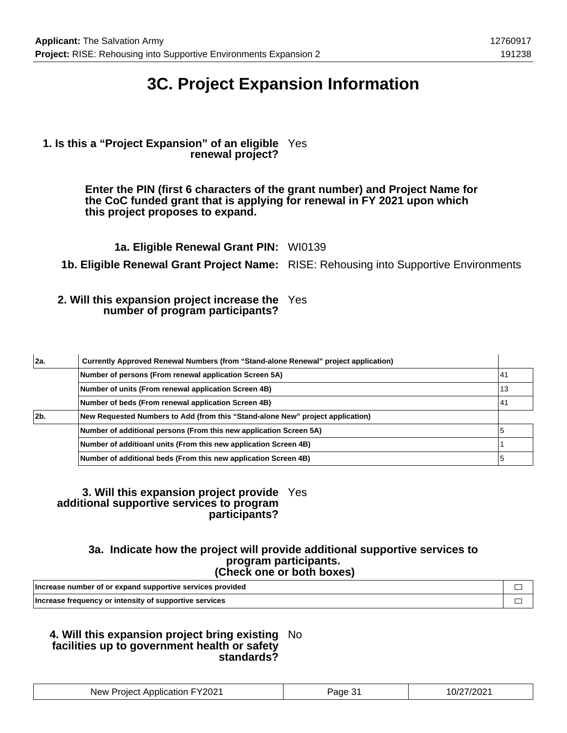### **3C. Project Expansion Information**

#### **1. Is this a "Project Expansion" of an eligible** Yes **renewal project?**

**Enter the PIN (first 6 characters of the grant number) and Project Name for the CoC funded grant that is applying for renewal in FY 2021 upon which this project proposes to expand.**

**1a. Eligible Renewal Grant PIN:** WI0139

**1b. Eligible Renewal Grant Project Name:** RISE: Rehousing into Supportive Environments

#### **2. Will this expansion project increase the** Yes **number of program participants?**

| ∣2a. | Currently Approved Renewal Numbers (from "Stand-alone Renewal" project application) |    |
|------|-------------------------------------------------------------------------------------|----|
|      | Number of persons (From renewal application Screen 5A)                              | 41 |
|      | Number of units (From renewal application Screen 4B)                                | 13 |
|      | Number of beds (From renewal application Screen 4B)                                 | 41 |
| 2b.  | New Requested Numbers to Add (from this "Stand-alone New" project application)      |    |
|      | Number of additional persons (From this new application Screen 5A)                  |    |
|      | Number of additioanl units (From this new application Screen 4B)                    |    |
|      | Number of additional beds (From this new application Screen 4B)                     | 5  |

#### **3. Will this expansion project provide** Yes **additional supportive services to program participants?**

#### **3a. Indicate how the project will provide additional supportive services to program participants. (Check one or both boxes)**

| Increase number of or expand supportive services provided |  |
|-----------------------------------------------------------|--|
| Increase frequency or intensity of supportive services    |  |

#### **4. Will this expansion project bring existing** No **facilities up to government health or safety standards?**

| New Project Application FY2021 | Page | 10/27/2021 |
|--------------------------------|------|------------|
|--------------------------------|------|------------|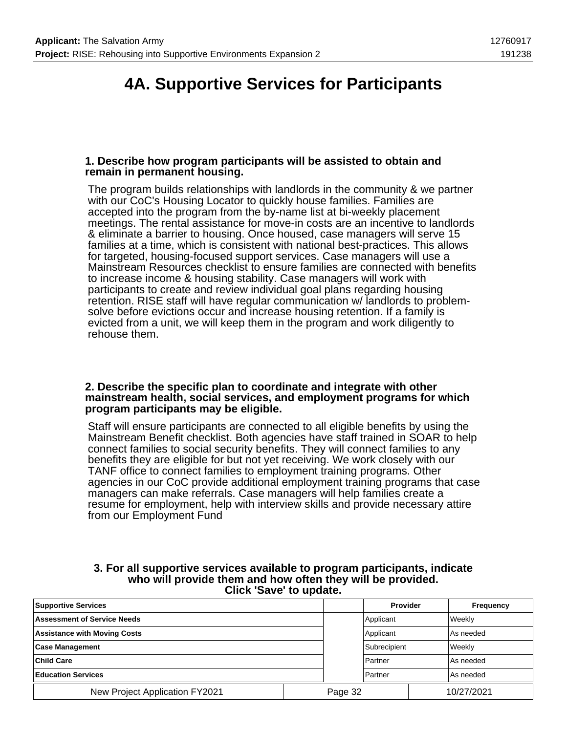### **4A. Supportive Services for Participants**

#### **1. Describe how program participants will be assisted to obtain and remain in permanent housing.**

The program builds relationships with landlords in the community & we partner with our CoC's Housing Locator to quickly house families. Families are accepted into the program from the by-name list at bi-weekly placement meetings. The rental assistance for move-in costs are an incentive to landlords & eliminate a barrier to housing. Once housed, case managers will serve 15 families at a time, which is consistent with national best-practices. This allows for targeted, housing-focused support services. Case managers will use a Mainstream Resources checklist to ensure families are connected with benefits to increase income & housing stability. Case managers will work with participants to create and review individual goal plans regarding housing retention. RISE staff will have regular communication w/ landlords to problemsolve before evictions occur and increase housing retention. If a family is evicted from a unit, we will keep them in the program and work diligently to rehouse them.

#### **2. Describe the specific plan to coordinate and integrate with other mainstream health, social services, and employment programs for which program participants may be eligible.**

Staff will ensure participants are connected to all eligible benefits by using the Mainstream Benefit checklist. Both agencies have staff trained in SOAR to help connect families to social security benefits. They will connect families to any benefits they are eligible for but not yet receiving. We work closely with our TANF office to connect families to employment training programs. Other agencies in our CoC provide additional employment training programs that case managers can make referrals. Case managers will help families create a resume for employment, help with interview skills and provide necessary attire from our Employment Fund

#### **3. For all supportive services available to program participants, indicate who will provide them and how often they will be provided. Click 'Save' to update.**

| <b>Supportive Services</b>          |  | Provider                |  | <b>Frequency</b> |  |
|-------------------------------------|--|-------------------------|--|------------------|--|
| <b>Assessment of Service Needs</b>  |  | Applicant               |  | Weekly           |  |
| <b>Assistance with Moving Costs</b> |  | Applicant               |  | IAs needed       |  |
| <b>Case Management</b>              |  | Subrecipient<br>Partner |  | Weekly           |  |
| <b>Child Care</b>                   |  |                         |  | IAs needed       |  |
| <b>Education Services</b>           |  | Partner                 |  | l As needed      |  |
| New Project Application FY2021      |  | Page 32                 |  | 10/27/2021       |  |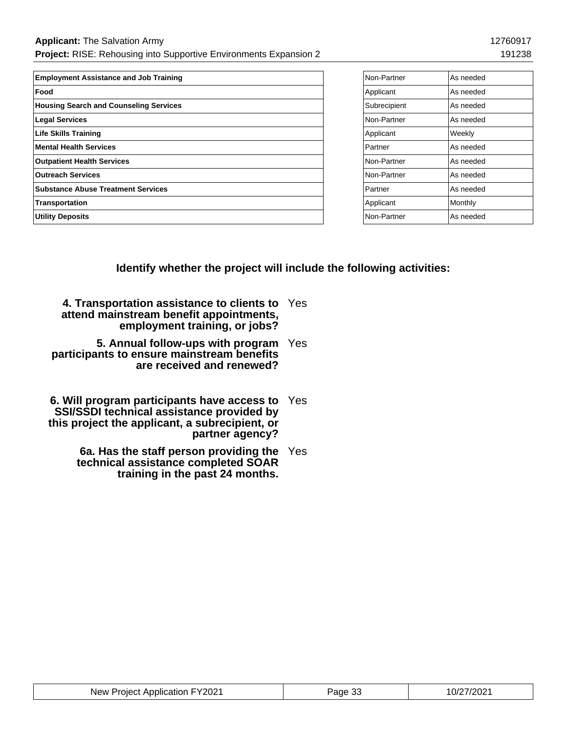| Non-Partner  | As needed |
|--------------|-----------|
| Applicant    | As needed |
| Subrecipient | As needed |
| Non-Partner  | As needed |
| Applicant    | Weekly    |
| Partner      | As needed |
| Non-Partner  | As needed |
| Non-Partner  | As needed |
| Partner      | As needed |
| Applicant    | Monthly   |
| Non-Partner  | As needed |
|              |           |

| Non-Partner  | As needed |
|--------------|-----------|
| Applicant    | As needed |
| Subrecipient | As needed |
| Non-Partner  | As needed |
| Applicant    | Weekly    |
| Partner      | As needed |
| Non-Partner  | As needed |
| Non-Partner  | As needed |
| Partner      | As needed |
| Applicant    | Monthly   |
| Non-Partner  | As needed |

### **Identify whether the project will include the following activities:**

| 4. Transportation assistance to clients to | Yes |
|--------------------------------------------|-----|
| attend mainstream benefit appointments,    |     |
| employment training, or jobs?              |     |

- **5. Annual follow-ups with program** Yes **participants to ensure mainstream benefits are received and renewed?**
- **6. Will program participants have access to SSI/SSDI technical assistance provided by this project the applicant, a subrecipient, or partner agency?** Yes
	- **6a. Has the staff person providing the technical assistance completed SOAR training in the past 24 months.** Yes

| New Project Application FY2021 | Page 33 | 10/27/2021 |
|--------------------------------|---------|------------|
|--------------------------------|---------|------------|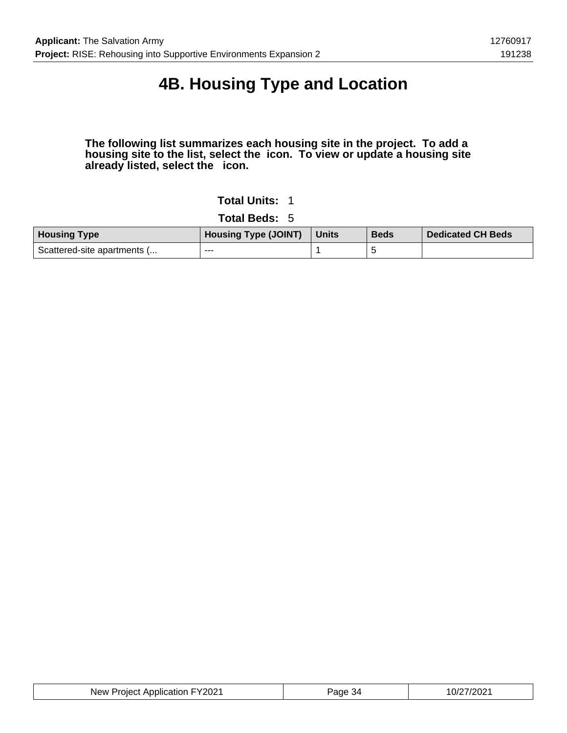### **4B. Housing Type and Location**

#### **The following list summarizes each housing site in the project. To add a housing site to the list, select the icon. To view or update a housing site already listed, select the icon.**

#### **Total Units:** 1

**Total Beds:** 5

| <b>Housing Type</b>         | <b>Housing Type (JOINT)</b> | <b>'Units</b> | <b>Beds</b> | <b>Dedicated CH Beds</b> |
|-----------------------------|-----------------------------|---------------|-------------|--------------------------|
| Scattered-site apartments ( | ---                         |               |             |                          |

| New Project Application FY2021 | $P$ ade | 10/27/2021 |
|--------------------------------|---------|------------|
|--------------------------------|---------|------------|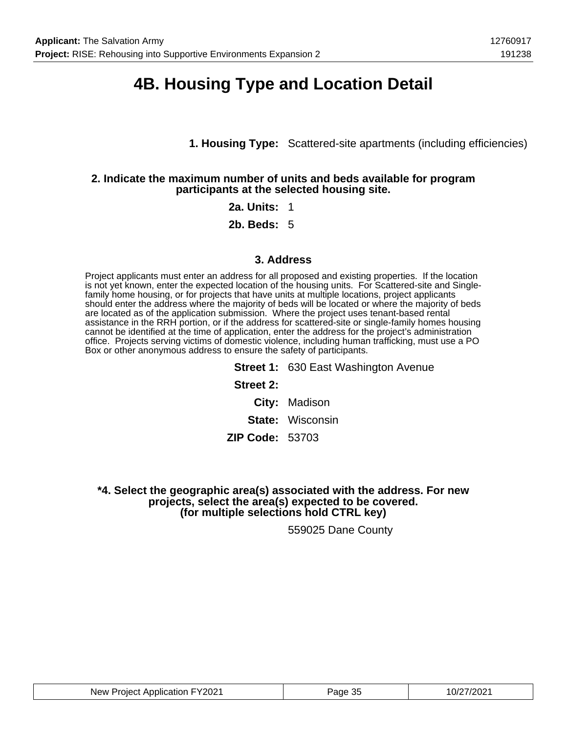### **4B. Housing Type and Location Detail**

**1. Housing Type:** Scattered-site apartments (including efficiencies)

#### **2. Indicate the maximum number of units and beds available for program participants at the selected housing site.**

#### **2a. Units:** 1

**2b. Beds:** 5

#### **3. Address**

Project applicants must enter an address for all proposed and existing properties. If the location is not yet known, enter the expected location of the housing units. For Scattered-site and Singlefamily home housing, or for projects that have units at multiple locations, project applicants should enter the address where the majority of beds will be located or where the majority of beds are located as of the application submission. Where the project uses tenant-based rental assistance in the RRH portion, or if the address for scattered-site or single-family homes housing cannot be identified at the time of application, enter the address for the project's administration office. Projects serving victims of domestic violence, including human trafficking, must use a PO Box or other anonymous address to ensure the safety of participants.

> **Street 1: 630 East Washington Avenue Street 2: City:** Madison **State:** Wisconsin **ZIP Code:** 53703

**\*4. Select the geographic area(s) associated with the address. For new projects, select the area(s) expected to be covered. (for multiple selections hold CTRL key)**

559025 Dane County

| FY2021<br><b>New Project Application</b> | <sup>∍</sup> ane<br>v. | '/2021<br>10/2 |
|------------------------------------------|------------------------|----------------|
|------------------------------------------|------------------------|----------------|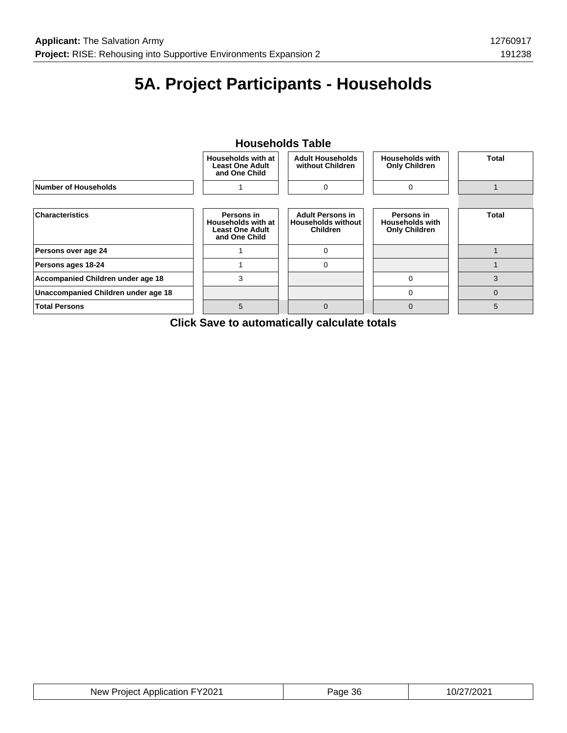### **5A. Project Participants - Households**

#### **Households Table**



**Click Save to automatically calculate totals**

| New Project Application FY2021 | Page 36 | 10/27/2021 |
|--------------------------------|---------|------------|
|--------------------------------|---------|------------|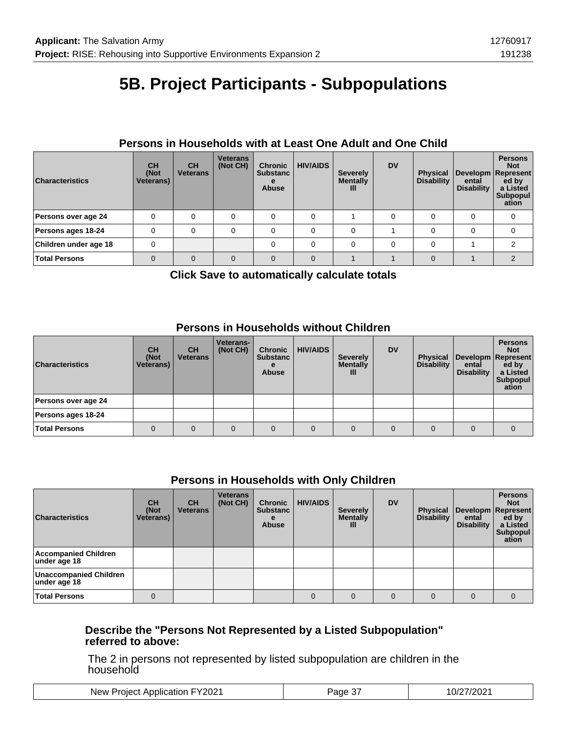### **5B. Project Participants - Subpopulations**

### **Persons in Households with at Least One Adult and One Child**

| <b>Characteristics</b> | <b>CH</b><br>(Not<br><b>Veterans</b> ) | <b>CH</b><br><b>Veterans</b> | <b>Veterans</b><br>(Not CH) | <b>Chronic</b><br><b>Substanc</b><br><b>Abuse</b> | <b>HIV/AIDS</b> | <b>Severely</b><br><b>Mentally</b><br>Ш | <b>DV</b> | <b>Physical</b><br><b>Disability</b> | Developm Represent<br>ental<br><b>Disability</b> | <b>Persons</b><br><b>Not</b><br>ed by<br>a Listed<br>Subpopul<br>ation |
|------------------------|----------------------------------------|------------------------------|-----------------------------|---------------------------------------------------|-----------------|-----------------------------------------|-----------|--------------------------------------|--------------------------------------------------|------------------------------------------------------------------------|
| Persons over age 24    |                                        | 0                            |                             |                                                   |                 |                                         |           |                                      | $\Omega$                                         | 0                                                                      |
| Persons ages 18-24     |                                        | 0                            |                             |                                                   |                 |                                         |           |                                      | $\Omega$                                         | 0                                                                      |
| Children under age 18  | $\Omega$                               |                              |                             |                                                   |                 |                                         |           |                                      |                                                  |                                                                        |
| Total Persons          |                                        |                              |                             | 0                                                 |                 |                                         |           |                                      |                                                  |                                                                        |

**Click Save to automatically calculate totals**

#### **Persons in Households without Children**

| <b>Characteristics</b> | <b>CH</b><br>(Not<br><b>Veterans</b> ) | <b>CH</b><br><b>Veterans</b> | <b>Veterans-</b><br>(Not CH) | <b>Chronic</b><br><b>Substanc</b><br><b>Abuse</b> | <b>HIV/AIDS</b> | <b>Severely</b><br><b>Mentally</b><br>Ш | <b>DV</b> | <b>Physical</b><br><b>Disability</b> | ental<br><b>Disability</b> | <b>Persons</b><br><b>Not</b><br>Developm Represent<br>ed by<br>a Listed<br>Subpopul<br>ation |
|------------------------|----------------------------------------|------------------------------|------------------------------|---------------------------------------------------|-----------------|-----------------------------------------|-----------|--------------------------------------|----------------------------|----------------------------------------------------------------------------------------------|
| Persons over age 24    |                                        |                              |                              |                                                   |                 |                                         |           |                                      |                            |                                                                                              |
| Persons ages 18-24     |                                        |                              |                              |                                                   |                 |                                         |           |                                      |                            |                                                                                              |
| <b>Total Persons</b>   |                                        | 0                            | 0                            | 0                                                 | $\Omega$        | $\Omega$                                | $\Omega$  | $\Omega$                             | $\Omega$                   |                                                                                              |

#### **Persons in Households with Only Children**

| <b>Characteristics</b>                        | <b>CH</b><br>(Not<br><b>Veterans</b> ) | <b>CH</b><br><b>Veterans</b> | Veterans<br>(Not CH) | <b>Chronic</b><br><b>Substanc</b><br>e<br><b>Abuse</b> | <b>HIV/AIDS</b> | <b>Severely</b><br><b>Mentally</b><br>Ш | <b>DV</b> | <b>Physical</b><br><b>Disability</b> | Developm Represent<br>ental<br><b>Disability</b> | <b>Persons</b><br><b>Not</b><br>ed by<br>a Listed<br><b>Subpopul</b><br>ation |
|-----------------------------------------------|----------------------------------------|------------------------------|----------------------|--------------------------------------------------------|-----------------|-----------------------------------------|-----------|--------------------------------------|--------------------------------------------------|-------------------------------------------------------------------------------|
| Accompanied Children<br>under age 18          |                                        |                              |                      |                                                        |                 |                                         |           |                                      |                                                  |                                                                               |
| <b>Unaccompanied Children</b><br>under age 18 |                                        |                              |                      |                                                        |                 |                                         |           |                                      |                                                  |                                                                               |
| <b>Total Persons</b>                          | $\Omega$                               |                              |                      |                                                        | $\Omega$        | $\Omega$                                | $\Omega$  | $\Omega$                             | $\Omega$                                         | $\Omega$                                                                      |

#### **Describe the "Persons Not Represented by a Listed Subpopulation" referred to above:**

The 2 in persons not represented by listed subpopulation are children in the household

| Y2021<br>New<br>Project.<br>Abblication | $\sim$ $\sim$<br>∟חר | U 11<br>.UZ |
|-----------------------------------------|----------------------|-------------|
|-----------------------------------------|----------------------|-------------|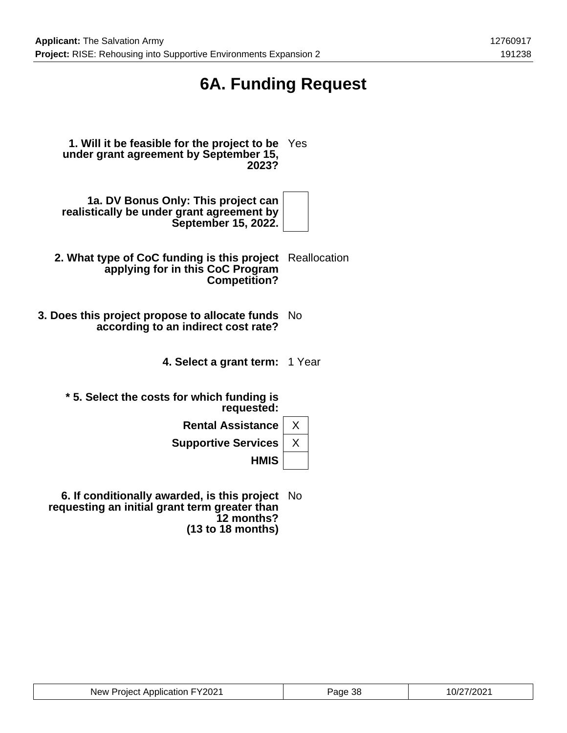# **6A. Funding Request**

**1. Will it be feasible for the project to be** Yes **under grant agreement by September 15, 2023?**

**1a. DV Bonus Only: This project can realistically be under grant agreement by September 15, 2022.**

- **2. What type of CoC funding is this project** Reallocation **applying for in this CoC Program Competition?**
- **3. Does this project propose to allocate funds** No **according to an indirect cost rate?**
	- **4. Select a grant term:** 1 Year

**\* 5. Select the costs for which funding is requested:**

**Rental Assistance** | X

**Supportive Services** | X

**HMIS**

**6. If conditionally awarded, is this project** No **requesting an initial grant term greater than 12 months? (13 to 18 months)**

| New Project Application FY2021 | Page 38 | 10/27/2021 |
|--------------------------------|---------|------------|
|--------------------------------|---------|------------|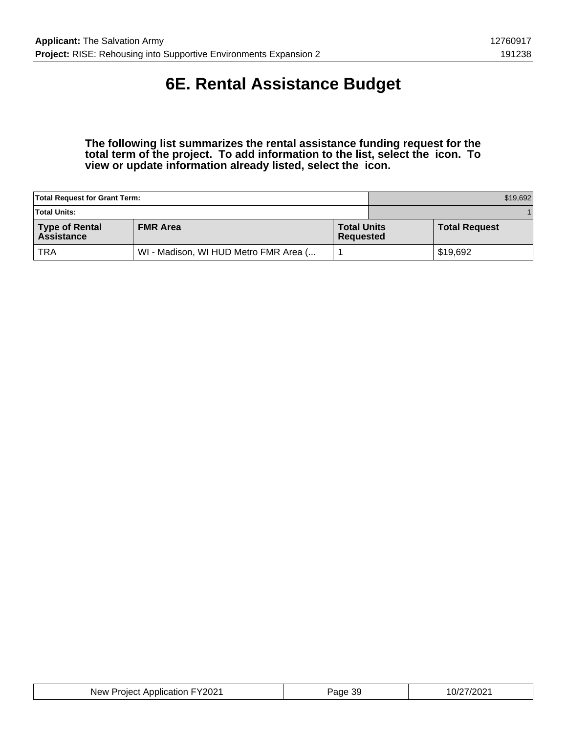### **6E. Rental Assistance Budget**

**The following list summarizes the rental assistance funding request for the total term of the project. To add information to the list, select the icon. To view or update information already listed, select the icon.**

| <b>Total Request for Grant Term:</b>       | \$19,692                              |                                 |                      |
|--------------------------------------------|---------------------------------------|---------------------------------|----------------------|
| <b>Total Units:</b>                        |                                       |                                 |                      |
| <b>Type of Rental</b><br><b>Assistance</b> | <b>FMR Area</b>                       | <b>Total Units</b><br>Requested | <b>Total Request</b> |
| TRA                                        | WI - Madison, WI HUD Metro FMR Area ( |                                 | \$19,692             |

| New Project Application FY2021 | Page 39 | 10/27/2021 |
|--------------------------------|---------|------------|
|--------------------------------|---------|------------|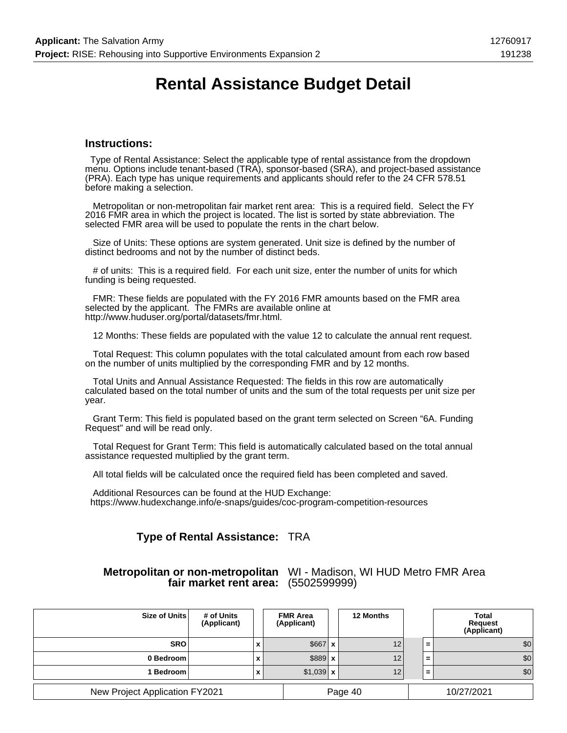### **Rental Assistance Budget Detail**

#### **Instructions:**

 Type of Rental Assistance: Select the applicable type of rental assistance from the dropdown menu. Options include tenant-based (TRA), sponsor-based (SRA), and project-based assistance (PRA). Each type has unique requirements and applicants should refer to the 24 CFR 578.51 before making a selection.

 Metropolitan or non-metropolitan fair market rent area: This is a required field. Select the FY 2016 FMR area in which the project is located. The list is sorted by state abbreviation. The selected FMR area will be used to populate the rents in the chart below.

 Size of Units: These options are system generated. Unit size is defined by the number of distinct bedrooms and not by the number of distinct beds.

 # of units: This is a required field. For each unit size, enter the number of units for which funding is being requested.

 FMR: These fields are populated with the FY 2016 FMR amounts based on the FMR area selected by the applicant. The FMRs are available online at http://www.huduser.org/portal/datasets/fmr.html.

12 Months: These fields are populated with the value 12 to calculate the annual rent request.

 Total Request: This column populates with the total calculated amount from each row based on the number of units multiplied by the corresponding FMR and by 12 months.

 Total Units and Annual Assistance Requested: The fields in this row are automatically calculated based on the total number of units and the sum of the total requests per unit size per year.

 Grant Term: This field is populated based on the grant term selected on Screen "6A. Funding Request" and will be read only.

 Total Request for Grant Term: This field is automatically calculated based on the total annual assistance requested multiplied by the grant term.

All total fields will be calculated once the required field has been completed and saved.

 Additional Resources can be found at the HUD Exchange: https://www.hudexchange.info/e-snaps/guides/coc-program-competition-resources

#### **Type of Rental Assistance:** TRA

#### **Metropolitan or non-metropolitan** WI - Madison, WI HUD Metro FMR Area **fair market rent area:** (5502599999)

| Size of Units                  | # of Units<br>(Applicant) | <b>FMR Area</b><br>(Applicant) | <b>12 Months</b> |          | <b>Total</b><br><b>Request</b><br>(Applicant) |
|--------------------------------|---------------------------|--------------------------------|------------------|----------|-----------------------------------------------|
| <b>SRO</b>                     | X                         | $$667$ $x$                     | 12               | $\equiv$ | \$0                                           |
| 0 Bedroom                      | X                         | $$889$ $x$                     | 12               | $\equiv$ | \$0                                           |
| <b>Bedroom</b>                 | X                         | $$1,039$ x                     | 12               | $\equiv$ | \$0                                           |
| New Project Application FY2021 |                           |                                | Page 40          |          | 10/27/2021                                    |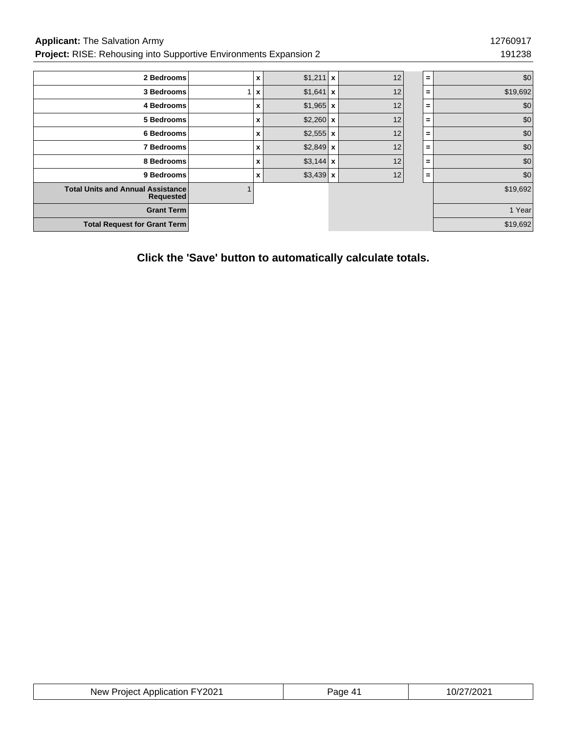**Applicant:** The Salvation Army 12760917 **Project:** RISE: Rehousing into Supportive Environments Expansion 2 191238

| 2 Bedrooms                                            | X                         | $$1,211$ x | 12 | $\equiv$ | \$0      |
|-------------------------------------------------------|---------------------------|------------|----|----------|----------|
| 3 Bedrooms                                            | $\mathbf{x}$              | $$1,641$ x | 12 | $\equiv$ | \$19,692 |
| 4 Bedrooms                                            | $\boldsymbol{\mathsf{x}}$ | $$1,965$ x | 12 | $=$      | \$0      |
| 5 Bedrooms                                            | $\boldsymbol{\mathsf{x}}$ | $$2,260$ x | 12 | $=$      | \$0      |
| 6 Bedrooms                                            | X                         | $$2,555$ x | 12 | $\equiv$ | \$0      |
| 7 Bedrooms                                            | $\boldsymbol{\mathsf{x}}$ | $$2,849$ x | 12 | $=$      | \$0      |
| 8 Bedrooms                                            | $\boldsymbol{\mathsf{x}}$ | $$3,144$ x | 12 | $\equiv$ | \$0      |
| 9 Bedrooms                                            | $\boldsymbol{\mathsf{x}}$ | $$3,439$ x | 12 | $\equiv$ | \$0      |
| <b>Total Units and Annual Assistance</b><br>Requested |                           |            |    |          | \$19,692 |
| <b>Grant Term</b>                                     |                           |            |    |          | 1 Year   |
| <b>Total Request for Grant Term</b>                   |                           |            |    |          | \$19,692 |

**Click the 'Save' button to automatically calculate totals.**

| New Project Application FY2021 | Paɑe | 10/27/2021 |
|--------------------------------|------|------------|
|--------------------------------|------|------------|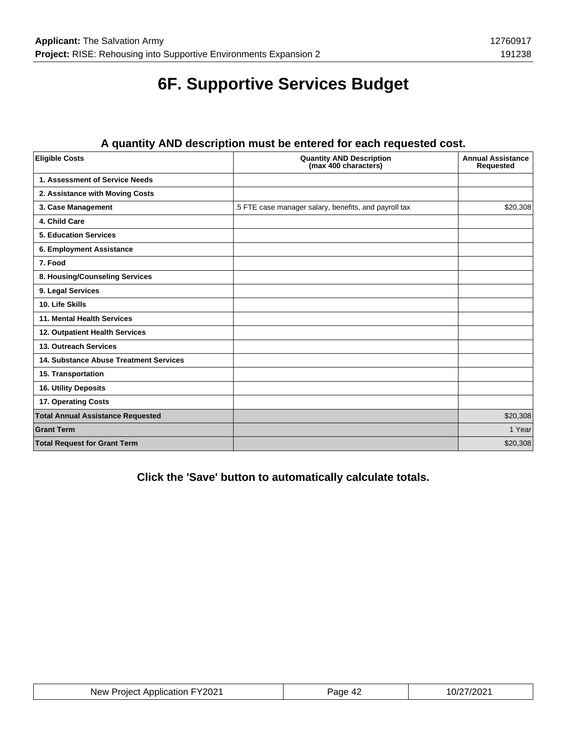# **6F. Supportive Services Budget**

#### **A quantity AND description must be entered for each requested cost.**

| <b>Eligible Costs</b>                    | <b>Quantity AND Description</b><br>(max 400 characters) | <b>Annual Assistance</b><br>Requested |
|------------------------------------------|---------------------------------------------------------|---------------------------------------|
| 1. Assessment of Service Needs           |                                                         |                                       |
| 2. Assistance with Moving Costs          |                                                         |                                       |
| 3. Case Management                       | .5 FTE case manager salary, benefits, and payroll tax   | \$20,308                              |
| 4. Child Care                            |                                                         |                                       |
| <b>5. Education Services</b>             |                                                         |                                       |
| 6. Employment Assistance                 |                                                         |                                       |
| 7. Food                                  |                                                         |                                       |
| 8. Housing/Counseling Services           |                                                         |                                       |
| 9. Legal Services                        |                                                         |                                       |
| 10. Life Skills                          |                                                         |                                       |
| 11. Mental Health Services               |                                                         |                                       |
| 12. Outpatient Health Services           |                                                         |                                       |
| 13. Outreach Services                    |                                                         |                                       |
| 14. Substance Abuse Treatment Services   |                                                         |                                       |
| 15. Transportation                       |                                                         |                                       |
| <b>16. Utility Deposits</b>              |                                                         |                                       |
| 17. Operating Costs                      |                                                         |                                       |
| <b>Total Annual Assistance Requested</b> |                                                         | \$20,308                              |
| <b>Grant Term</b>                        |                                                         | 1 Year                                |
| <b>Total Request for Grant Term</b>      |                                                         | \$20,308                              |

**Click the 'Save' button to automatically calculate totals.**

| New Project Application FY2021 | Page 42 | 10/27/2021 |
|--------------------------------|---------|------------|
|--------------------------------|---------|------------|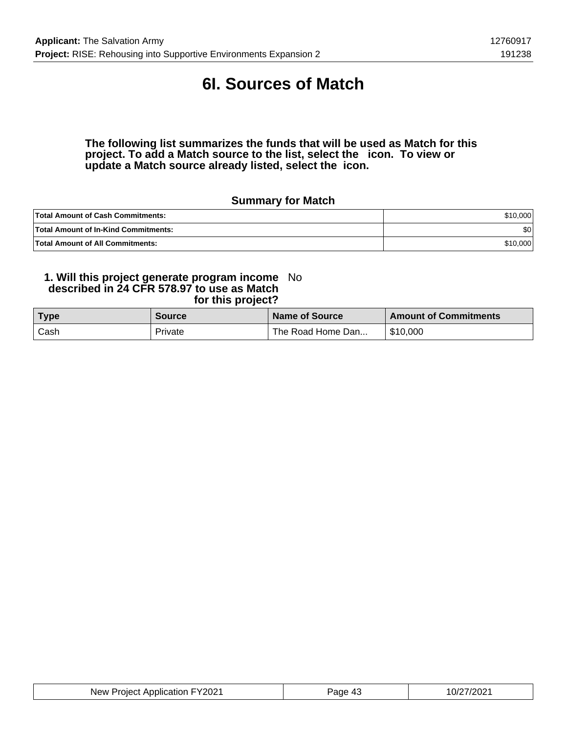### **6I. Sources of Match**

**The following list summarizes the funds that will be used as Match for this project. To add a Match source to the list, select the icon. To view or update a Match source already listed, select the icon.**

#### **Summary for Match**

| <b>Total Amount of Cash Commitments:</b>    | \$10,000         |
|---------------------------------------------|------------------|
| <b>Total Amount of In-Kind Commitments:</b> | \$0 <sub>1</sub> |
| <b>Total Amount of All Commitments:</b>     | \$10,000         |

#### **1. Will this project generate program income described in 24 CFR 578.97 to use as Match for this project?** No

| <b>Type</b> | <b>Source</b> | <b>Name of Source</b> | <b>Amount of Commitments</b> |
|-------------|---------------|-----------------------|------------------------------|
| Cash        | Private       | The Road Home Dan     | \$10,000                     |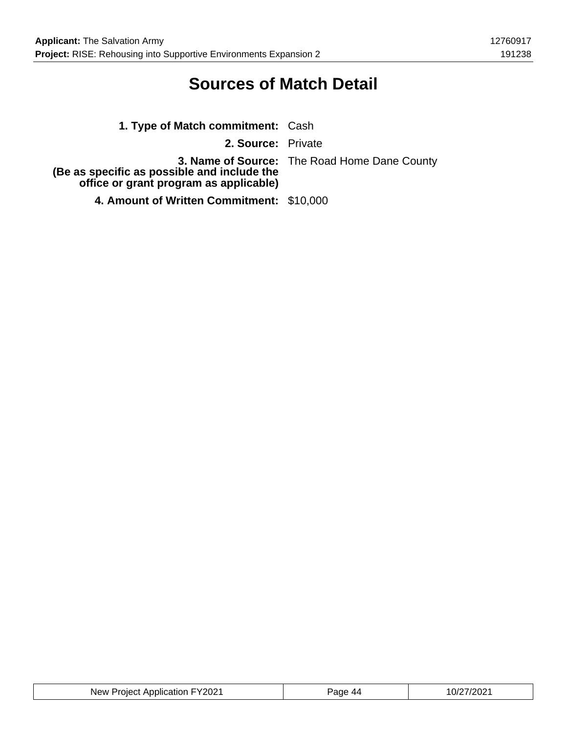### **Sources of Match Detail**

| <b>1. Type of Match commitment: Cash</b>                                              |                                                     |
|---------------------------------------------------------------------------------------|-----------------------------------------------------|
| 2. Source: Private                                                                    |                                                     |
| (Be as specific as possible and include the<br>office or grant program as applicable) | <b>3. Name of Source:</b> The Road Home Dane County |
| 4. Amount of Written Commitment: \$10,000                                             |                                                     |

| FY2021<br>Project Application<br>New | Page<br>44 | 7/2021<br>10/27 |
|--------------------------------------|------------|-----------------|
|--------------------------------------|------------|-----------------|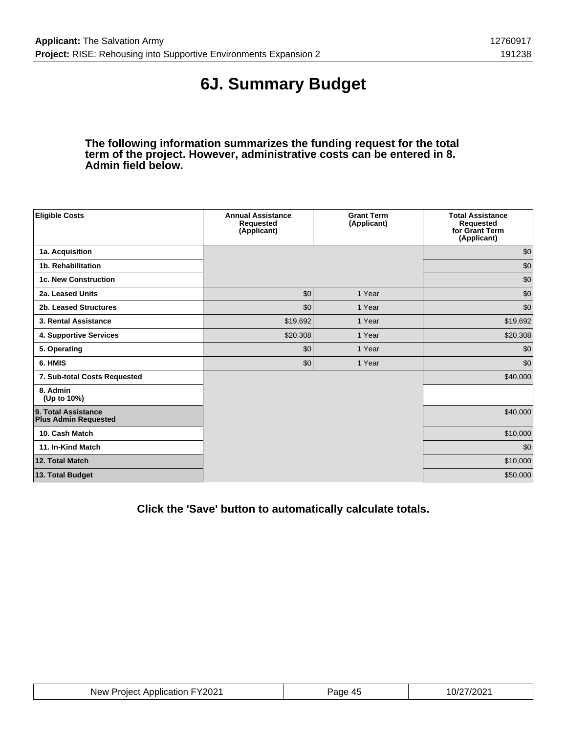## **6J. Summary Budget**

**The following information summarizes the funding request for the total term of the project. However, administrative costs can be entered in 8. Admin field below.**

| <b>Eligible Costs</b>                              | <b>Annual Assistance</b><br><b>Requested</b><br>(Applicant) | <b>Grant Term</b><br>(Applicant) | <b>Total Assistance</b><br>Requested<br>for Grant Term<br>(Applicant) |
|----------------------------------------------------|-------------------------------------------------------------|----------------------------------|-----------------------------------------------------------------------|
| 1a. Acquisition                                    |                                                             |                                  | \$0                                                                   |
| 1b. Rehabilitation                                 |                                                             |                                  | \$0                                                                   |
| <b>1c. New Construction</b>                        |                                                             |                                  | \$0                                                                   |
| 2a. Leased Units                                   | \$0                                                         | 1 Year                           | \$0                                                                   |
| 2b. Leased Structures                              | \$0                                                         | 1 Year                           | \$0                                                                   |
| 3. Rental Assistance                               | \$19,692                                                    | 1 Year                           | \$19,692                                                              |
| 4. Supportive Services                             | \$20,308                                                    | 1 Year                           | \$20,308                                                              |
| 5. Operating                                       | \$0                                                         | 1 Year                           | \$0                                                                   |
| 6. HMIS                                            | \$0                                                         | 1 Year                           | \$0                                                                   |
| 7. Sub-total Costs Requested                       |                                                             |                                  | \$40,000                                                              |
| 8. Admin<br>(Up to 10%)                            |                                                             |                                  |                                                                       |
| 9. Total Assistance<br><b>Plus Admin Requested</b> |                                                             |                                  | \$40,000                                                              |
| 10. Cash Match                                     |                                                             |                                  | \$10,000                                                              |
| 11. In-Kind Match                                  |                                                             |                                  | \$0                                                                   |
| 12. Total Match                                    |                                                             |                                  | \$10,000                                                              |
| 13. Total Budget                                   |                                                             |                                  | \$50,000                                                              |

**Click the 'Save' button to automatically calculate totals.**

| New Project Application FY2021 | Page<br>᠇◡ | 10/27/2021 |
|--------------------------------|------------|------------|
|--------------------------------|------------|------------|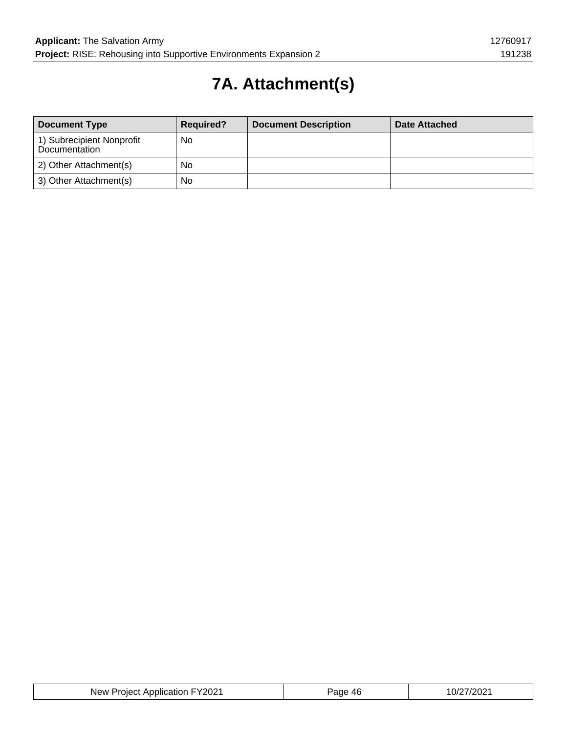# **7A. Attachment(s)**

| <b>Document Type</b>                       | <b>Required?</b> | <b>Document Description</b> | Date Attached |
|--------------------------------------------|------------------|-----------------------------|---------------|
| 1) Subrecipient Nonprofit<br>Documentation | <b>No</b>        |                             |               |
| 2) Other Attachment(s)                     | No               |                             |               |
| 3) Other Attachment(s)                     | No               |                             |               |

| New Project Application FY2021 | Page 46 | 10/27/2021 |
|--------------------------------|---------|------------|
|--------------------------------|---------|------------|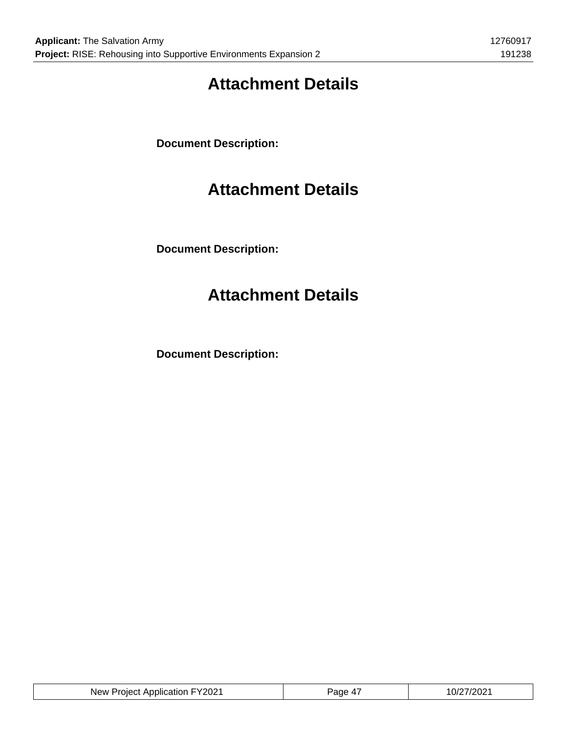### **Attachment Details**

**Document Description:**

### **Attachment Details**

**Document Description:**

### **Attachment Details**

**Document Description:**

| New Project Application FY2021 | 'age<br>$\overline{\phantom{a}}$ | 7/2021<br>0/2 |
|--------------------------------|----------------------------------|---------------|
|                                |                                  |               |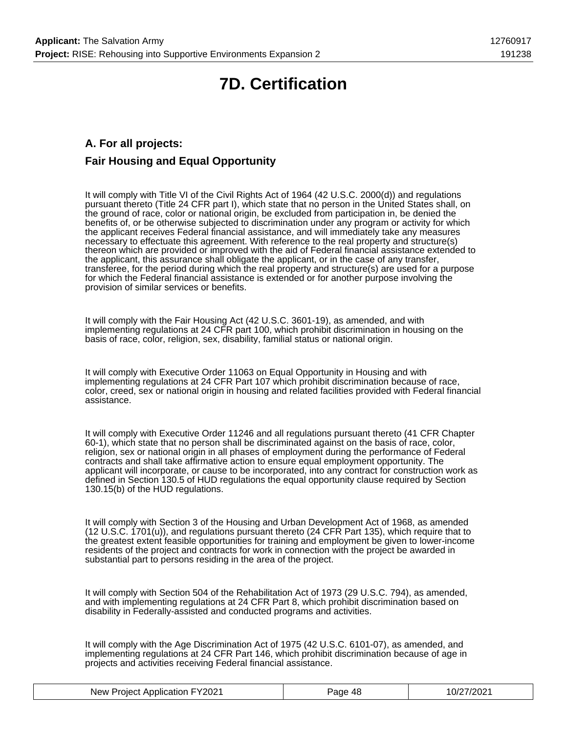# **7D. Certification**

### **A. For all projects: Fair Housing and Equal Opportunity**

It will comply with Title VI of the Civil Rights Act of 1964 (42 U.S.C. 2000(d)) and regulations pursuant thereto (Title 24 CFR part I), which state that no person in the United States shall, on the ground of race, color or national origin, be excluded from participation in, be denied the benefits of, or be otherwise subjected to discrimination under any program or activity for which the applicant receives Federal financial assistance, and will immediately take any measures necessary to effectuate this agreement. With reference to the real property and structure(s) thereon which are provided or improved with the aid of Federal financial assistance extended to the applicant, this assurance shall obligate the applicant, or in the case of any transfer, transferee, for the period during which the real property and structure(s) are used for a purpose for which the Federal financial assistance is extended or for another purpose involving the provision of similar services or benefits.

It will comply with the Fair Housing Act (42 U.S.C. 3601-19), as amended, and with implementing regulations at 24 CFR part 100, which prohibit discrimination in housing on the basis of race, color, religion, sex, disability, familial status or national origin.

It will comply with Executive Order 11063 on Equal Opportunity in Housing and with implementing regulations at 24 CFR Part 107 which prohibit discrimination because of race, color, creed, sex or national origin in housing and related facilities provided with Federal financial assistance.

It will comply with Executive Order 11246 and all regulations pursuant thereto (41 CFR Chapter 60-1), which state that no person shall be discriminated against on the basis of race, color, religion, sex or national origin in all phases of employment during the performance of Federal contracts and shall take affirmative action to ensure equal employment opportunity. The applicant will incorporate, or cause to be incorporated, into any contract for construction work as defined in Section 130.5 of HUD regulations the equal opportunity clause required by Section 130.15(b) of the HUD regulations.

It will comply with Section 3 of the Housing and Urban Development Act of 1968, as amended (12 U.S.C. 1701(u)), and regulations pursuant thereto (24 CFR Part 135), which require that to the greatest extent feasible opportunities for training and employment be given to lower-income residents of the project and contracts for work in connection with the project be awarded in substantial part to persons residing in the area of the project.

It will comply with Section 504 of the Rehabilitation Act of 1973 (29 U.S.C. 794), as amended, and with implementing regulations at 24 CFR Part 8, which prohibit discrimination based on disability in Federally-assisted and conducted programs and activities.

It will comply with the Age Discrimination Act of 1975 (42 U.S.C. 6101-07), as amended, and implementing regulations at 24 CFR Part 146, which prohibit discrimination because of age in projects and activities receiving Federal financial assistance.

| New Project Application FY2021 | Page 48 | 10/27/2021 |
|--------------------------------|---------|------------|
|--------------------------------|---------|------------|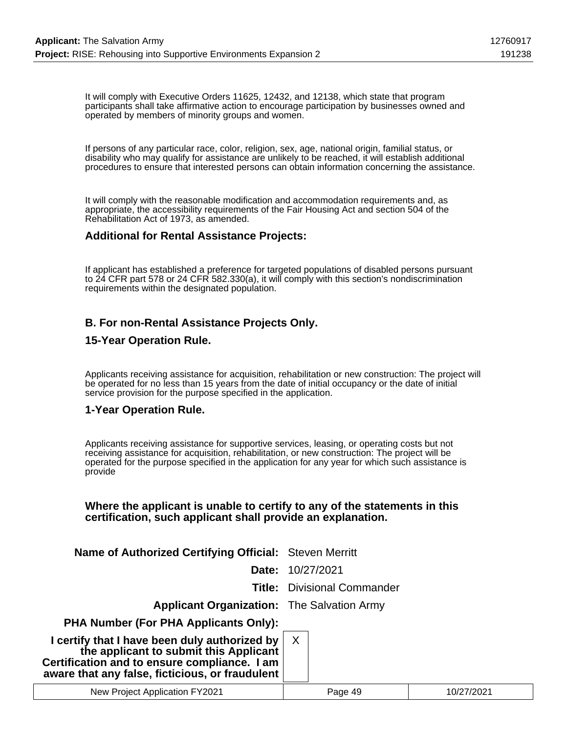It will comply with Executive Orders 11625, 12432, and 12138, which state that program participants shall take affirmative action to encourage participation by businesses owned and operated by members of minority groups and women.

If persons of any particular race, color, religion, sex, age, national origin, familial status, or disability who may qualify for assistance are unlikely to be reached, it will establish additional procedures to ensure that interested persons can obtain information concerning the assistance.

It will comply with the reasonable modification and accommodation requirements and, as appropriate, the accessibility requirements of the Fair Housing Act and section 504 of the Rehabilitation Act of 1973, as amended.

#### **Additional for Rental Assistance Projects:**

If applicant has established a preference for targeted populations of disabled persons pursuant to 24 CFR part 578 or 24 CFR 582.330(a), it will comply with this section's nondiscrimination requirements within the designated population.

#### **B. For non-Rental Assistance Projects Only.**

#### **15-Year Operation Rule.**

Applicants receiving assistance for acquisition, rehabilitation or new construction: The project will be operated for no less than 15 years from the date of initial occupancy or the date of initial service provision for the purpose specified in the application.

#### **1-Year Operation Rule.**

Applicants receiving assistance for supportive services, leasing, or operating costs but not receiving assistance for acquisition, rehabilitation, or new construction: The project will be operated for the purpose specified in the application for any year for which such assistance is provide

#### **Where the applicant is unable to certify to any of the statements in this certification, such applicant shall provide an explanation.**

**Name of Authorized Certifying Official:** Steven Merritt

**Date:** 10/27/2021

**Title:** Divisional Commander

**Applicant Organization:** The Salvation Army

**PHA Number (For PHA Applicants Only):**

**I certify that I have been duly authorized by the applicant to submit this Applicant Certification and to ensure compliance. I am aware that any false, ficticious, or fraudulent**

| New Project Application FY2021 | Page 49 | 10/27/2021 |
|--------------------------------|---------|------------|
|--------------------------------|---------|------------|

X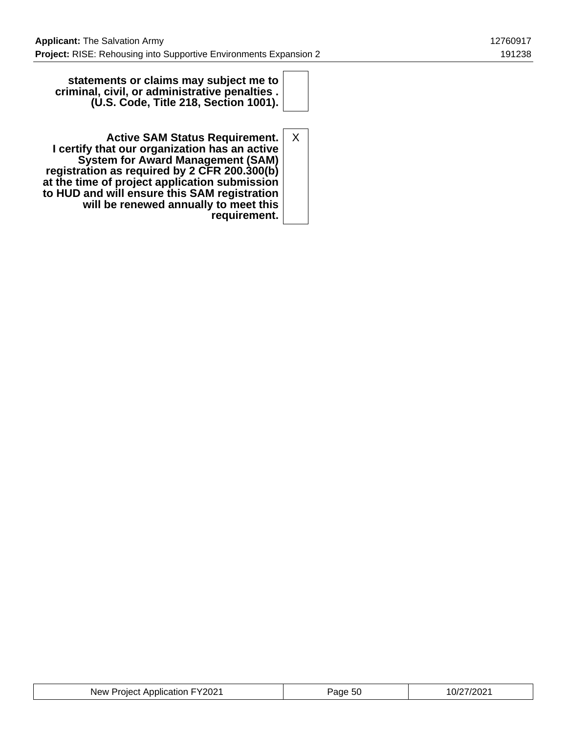**statements or claims may subject me to criminal, civil, or administrative penalties . (U.S. Code, Title 218, Section 1001).**

**Active SAM Status Requirement. I certify that our organization has an active System for Award Management (SAM) registration as required by 2 CFR 200.300(b) at the time of project application submission to HUD and will ensure this SAM registration will be renewed annually to meet this requirement.** X

| New Project Application FY2021 | Page 50 | 10/27/2021 |
|--------------------------------|---------|------------|
|--------------------------------|---------|------------|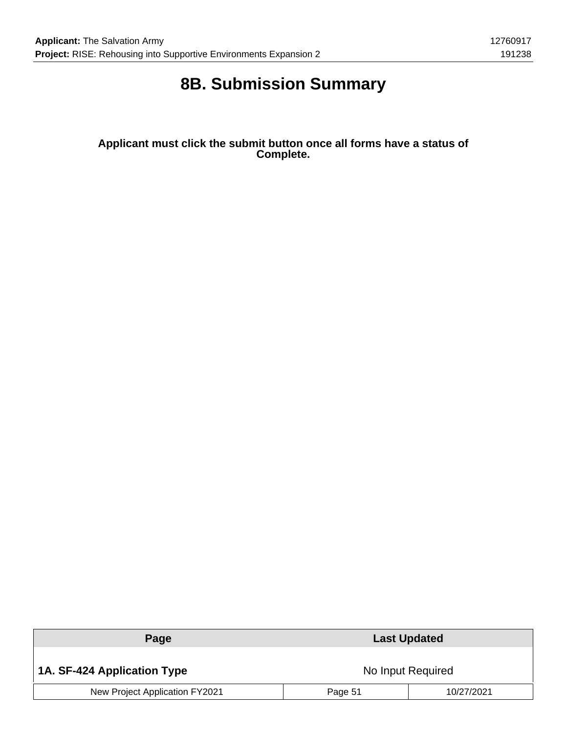## **8B. Submission Summary**

**Applicant must click the submit button once all forms have a status of Complete.**

| Page                           | <b>Last Updated</b> |            |
|--------------------------------|---------------------|------------|
| 1A. SF-424 Application Type    | No Input Required   |            |
| New Project Application FY2021 | Page 51             | 10/27/2021 |